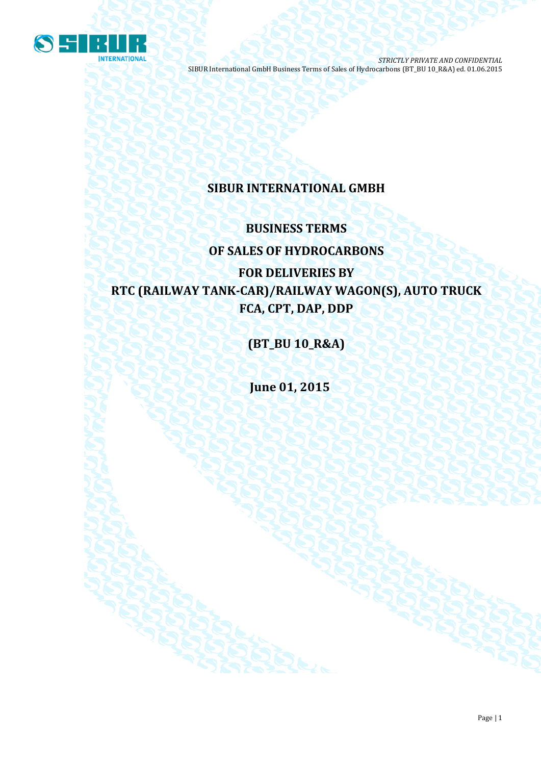

# **SIBUR INTERNATIONAL GMBH**

# **BUSINESS TERMS OF SALES OF HYDROCARBONS**

# **FOR DELIVERIES BY RTC (RAILWAY TANK-CAR)/RAILWAY WAGON(S), AUTO TRUCK FCA, CPT, DAP, DDP**

**(BT\_BU 10\_R&A)**

**June 01, 2015**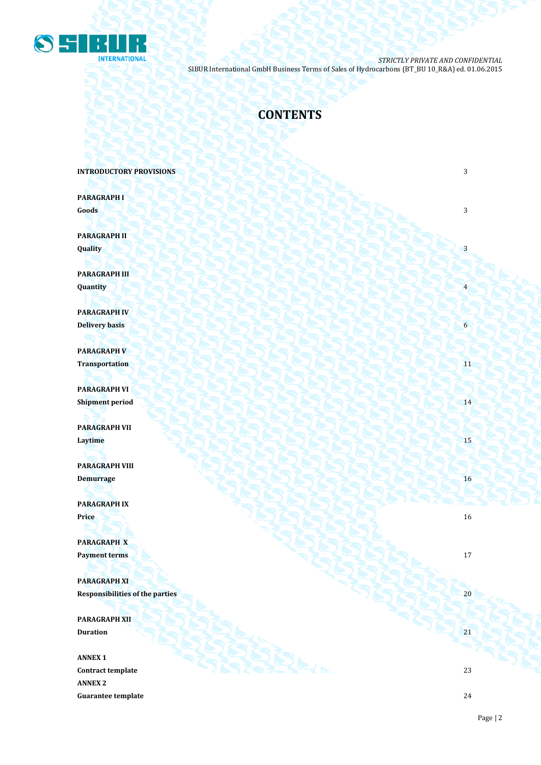

# **CONTENTS**

**INTRODUCTORY PROVISIONS 3** 

**PARAGRAPH I Goods** 3

**PARAGRAPH II**  $\mathbf{Quality}$   $\begin{pmatrix} 1 & 3 \end{pmatrix}$ 

**PARAGRAPH III Quantity** 4

**PARAGRAPH IV Delivery basis** 6

**PARAGRAPH V Transportation** 11

**PARAGRAPH VI** Shipment period **14** 20 8 14 2 2 2 2 3 2 2 3 2 2 3 2 14

**PARAGRAPH VII Laytime** 15

**PARAGRAPH VIII Demurrage** 16

**PARAGRAPH IX Price** 16

**PARAGRAPH X Payment terms** 17

**PARAGRAPH XI Responsibilities of the parties** 20

**PARAGRAPH XII Duration** 21 21

**ANNEX 1 Contract template** 23 **ANNEX 2 Guarantee template** 24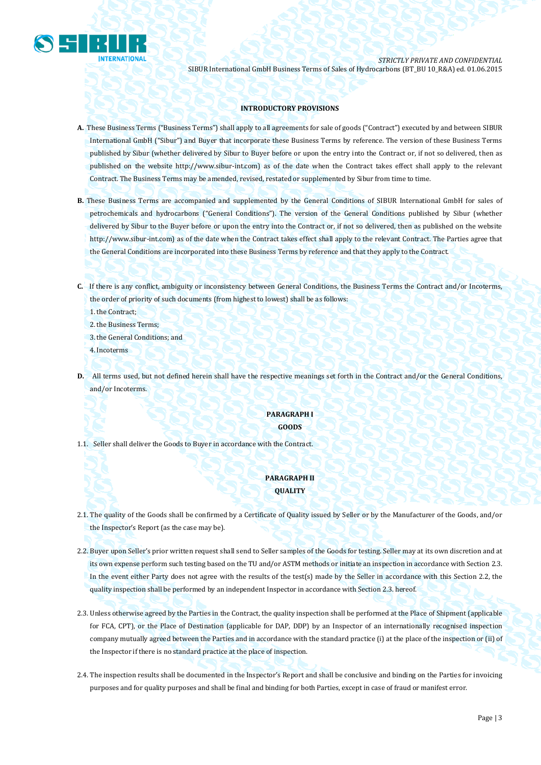

## **INTRODUCTORY PROVISIONS**

- **A.** These Business Terms ("Business Terms") shall apply to all agreements for sale of goods ("Contract") executed by and between SIBUR International GmbH ("Sibur") and Buyer that incorporate these Business Terms by reference. The version of these Business Terms published by Sibur (whether delivered by Sibur to Buyer before or upon the entry into the Contract or, if not so delivered, then as published on the website [http://www.sibur-int.com\)](http://www.sibur-int.com/) as of the date when the Contract takes effect shall apply to the relevant Contract. The Business Terms may be amended, revised, restated or supplemented by Sibur from time to time.
- **B.** These Business Terms are accompanied and supplemented by the General Conditions of SIBUR International GmbH for sales of petrochemicals and hydrocarbons ("General Conditions"). The version of the General Conditions published by Sibur (whether delivered by Sibur to the Buyer before or upon the entry into the Contract or, if not so delivered, then as published on the website [http://www.sibur-int.com\)](http://www.sibur-int.com/) as of the date when the Contract takes effect shall apply to the relevant Contract. The Parties agree that the General Conditions are incorporated into these Business Terms by reference and that they apply to the Contract.
- **C.** If there is any conflict, ambiguity or inconsistency between General Conditions, the Business Terms the Contract and/or Incoterms, the order of priority of such documents (from highest to lowest) shall be as follows:

1.the Contract;

2.the Business Terms;

3.the General Conditions; and

4.Incoterms

**D.** All terms used, but not defined herein shall have the respective meanings set forth in the Contract and/or the General Conditions, and/or Incoterms.

## **PARAGRAPH I GOODS**

1.1. Seller shall deliver the Goods to Buyer in accordance with the Contract.

# **PARAGRAPH II QUALITY**

- 2.1. The quality of the Goods shall be confirmed by a Certificate of Quality issued by Seller or by the Manufacturer of the Goods, and/or the Inspector's Report (as the case may be).
- 2.2. Buyer upon Seller's prior written request shall send to Seller samples of the Goods for testing. Seller may at its own discretion and at its own expense perform such testing based on the TU and/or ASTM methods or initiate an inspection in accordance with Section 2.3. In the event either Party does not agree with the results of the test(s) made by the Seller in accordance with this Section 2.2, the quality inspection shall be performed by an independent Inspector in accordance with Section 2.3. hereof.
- 2.3. Unless otherwise agreed by the Parties in the Contract, the quality inspection shall be performed at the Place of Shipment (applicable for FCA, CPT), or the Place of Destination (applicable for DAP, DDP) by an Inspector of an internationally recognised inspection company mutually agreed between the Parties and in accordance with the standard practice (i) at the place of the inspection or (ii) of the Inspector if there is no standard practice at the place of inspection.
- 2.4. The inspection results shall be documented in the Inspector's Report and shall be conclusive and binding on the Parties for invoicing purposes and for quality purposes and shall be final and binding for both Parties, except in case of fraud or manifest error.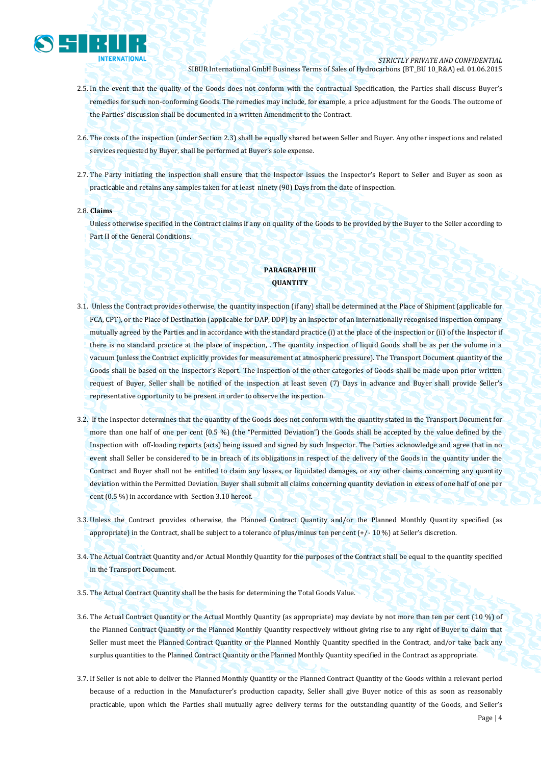

- 2.5. In the event that the quality of the Goods does not conform with the contractual Specification, the Parties shall discuss Buyer's remedies for such non-conforming Goods. The remedies may include, for example, a price adjustment for the Goods. The outcome of the Parties' discussion shall be documented in a written Amendment to the Contract.
- 2.6. The costs of the inspection (under Section 2.3) shall be equally shared between Seller and Buyer. Any other inspections and related services requested by Buyer, shall be performed at Buyer's sole expense.
- 2.7. The Party initiating the inspection shall ensure that the Inspector issues the Inspector's Report to Seller and Buyer as soon as practicable and retains any samples taken for at least ninety (90) Days from the date of inspection.

#### 2.8. **Claims**

Unless otherwise specified in the Contract claims if any on quality of the Goods to be provided by the Buyer to the Seller according to Part II of the General Conditions.

# **PARAGRAPH III QUANTITY**

- 3.1. Unless the Contract provides otherwise, the quantity inspection (if any) shall be determined at the Place of Shipment (applicable for FCA, CPT), or the Place of Destination (applicable for DAP, DDP) by an Inspector of an internationally recognised inspection company mutually agreed by the Parties and in accordance with the standard practice (i) at the place of the inspection or (ii) of the Inspector if there is no standard practice at the place of inspection, . The quantity inspection of liquid Goods shall be as per the volume in a vacuum (unless the Contract explicitly provides for measurement at atmospheric pressure). The Transport Document quantity of the Goods shall be based on the Inspector's Report. The Inspection of the other categories of Goods shall be made upon prior written request of Buyer, Seller shall be notified of the inspection at least seven (7) Days in advance and Buyer shall provide Seller's representative opportunity to be present in order to observe the inspection.
- 3.2. If the Inspector determines that the quantity of the Goods does not conform with the quantity stated in the Transport Document for more than one half of one per cent (0.5 %) (the "Permitted Deviation") the Goods shall be accepted by the value defined by the Inspection with off-loading reports (acts) being issued and signed by such Inspector. The Parties acknowledge and agree that in no event shall Seller be considered to be in breach of its obligations in respect of the delivery of the Goods in the quantity under the Contract and Buyer shall not be entitled to claim any losses, or liquidated damages, or any other claims concerning any quantity deviation within the Permitted Deviation. Buyer shall submit all claims concerning quantity deviation in excess of one half of one per cent (0.5 %) in accordance with Section 3.10 hereof.
- 3.3. Unless the Contract provides otherwise, the Planned Contract Quantity and/or the Planned Monthly Quantity specified (as appropriate) in the Contract, shall be subject to a tolerance of plus/minus ten per cent  $\left(\frac{+}{-10\%}\right)$  at Seller's discretion.
- 3.4. The Actual Contract Quantity and/or Actual Monthly Quantity for the purposes of the Contract shall be equal to the quantity specified in the Transport Document.
- 3.5. The Actual Contract Quantity shall be the basis for determining the Total Goods Value.
- 3.6. The Actual Contract Quantity or the Actual Monthly Quantity (as appropriate) may deviate by not more than ten per cent (10 %) of the Planned Contract Quantity or the Planned Monthly Quantity respectively without giving rise to any right of Buyer to claim that Seller must meet the Planned Contract Quantity or the Planned Monthly Quantity specified in the Contract, and/or take back any surplus quantities to the Planned Contract Quantity or the Planned Monthly Quantity specified in the Contract as appropriate.
- 3.7. If Seller is not able to deliver the Planned Monthly Quantity or the Planned Contract Quantity of the Goods within a relevant period because of a reduction in the Manufacturer's production capacity, Seller shall give Buyer notice of this as soon as reasonably practicable, upon which the Parties shall mutually agree delivery terms for the outstanding quantity of the Goods, and Seller's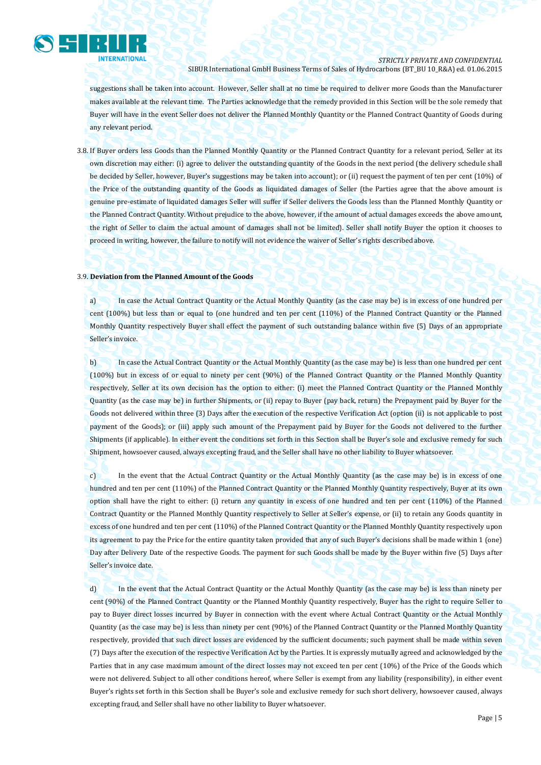

suggestions shall be taken into account. However, Seller shall at no time be required to deliver more Goods than the Manufacturer makes available at the relevant time. The Parties acknowledge that the remedy provided in this Section will be the sole remedy that Buyer will have in the event Seller does not deliver the Planned Monthly Quantity or the Planned Contract Quantity of Goods during any relevant period.

3.8. If Buyer orders less Goods than the Planned Monthly Quantity or the Planned Contract Quantity for a relevant period, Seller at its own discretion may either: (i) agree to deliver the outstanding quantity of the Goods in the next period (the delivery schedule shall be decided by Seller, however, Buyer's suggestions may be taken into account); or (ii) request the payment of ten per cent (10%) of the Price of the outstanding quantity of the Goods as liquidated damages of Seller (the Parties agree that the above amount is genuine pre-estimate of liquidated damages Seller will suffer if Seller delivers the Goods less than the Planned Monthly Quantity or the Planned Contract Quantity. Without prejudice to the above, however, if the amount of actual damages exceeds the above amount, the right of Seller to claim the actual amount of damages shall not be limited). Seller shall notify Buyer the option it chooses to proceed in writing, however, the failure to notify will not evidence the waiver of Seller's rights described above.

#### 3.9. **Deviation from the Planned Amount of the Goods**

a) In case the Actual Contract Quantity or the Actual Monthly Quantity (as the case may be) is in excess of one hundred per cent (100%) but less than or equal to (one hundred and ten per cent (110%) of the Planned Contract Quantity or the Planned Monthly Quantity respectively Buyer shall effect the payment of such outstanding balance within five (5) Days of an appropriate Seller's invoice.

b) In case the Actual Contract Quantity or the Actual Monthly Quantity (as the case may be) is less than one hundred per cent (100%) but in excess of or equal to ninety per cent (90%) of the Planned Contract Quantity or the Planned Monthly Quantity respectively, Seller at its own decision has the option to either: (i) meet the Planned Contract Quantity or the Planned Monthly Quantity (as the case may be) in further Shipments, or (ii) repay to Buyer (pay back, return) the Prepayment paid by Buyer for the Goods not delivered within three (3) Days after the execution of the respective Verification Act (option (ii) is not applicable to post payment of the Goods); or (iii) apply such amount of the Prepayment paid by Buyer for the Goods not delivered to the further Shipments (if applicable). In either event the conditions set forth in this Section shall be Buyer's sole and exclusive remedy for such Shipment, howsoever caused, always excepting fraud, and the Seller shall have no other liability to Buyer whatsoever.

c) In the event that the Actual Contract Quantity or the Actual Monthly Quantity (as the case may be) is in excess of one hundred and ten per cent (110%) of the Planned Contract Quantity or the Planned Monthly Quantity respectively, Buyer at its own option shall have the right to either: (i) return any quantity in excess of one hundred and ten per cent (110%) of the Planned Contract Quantity or the Planned Monthly Quantity respectively to Seller at Seller's expense, or (ii) to retain any Goods quantity in excess of one hundred and ten per cent (110%) of the Planned Contract Quantity or the Planned Monthly Quantity respectively upon its agreement to pay the Price for the entire quantity taken provided that any of such Buyer's decisions shall be made within 1 (one) Day after Delivery Date of the respective Goods. The payment for such Goods shall be made by the Buyer within five (5) Days after Seller's invoice date.

d) In the event that the Actual Contract Quantity or the Actual Monthly Quantity (as the case may be) is less than ninety per cent (90%) of the Planned Contract Quantity or the Planned Monthly Quantity respectively, Buyer has the right to require Seller to pay to Buyer direct losses incurred by Buyer in connection with the event where Actual Contract Quantity or the Actual Monthly Quantity (as the case may be) is less than ninety per cent (90%) of the Planned Contract Quantity or the Planned Monthly Quantity respectively, provided that such direct losses are evidenced by the sufficient documents; such payment shall be made within seven (7) Days after the execution of the respective Verification Act by the Parties. It is expressly mutually agreed and acknowledged by the Parties that in any case maximum amount of the direct losses may not exceed ten per cent (10%) of the Price of the Goods which were not delivered. Subject to all other conditions hereof, where Seller is exempt from any liability (responsibility), in either event Buyer's rights set forth in this Section shall be Buyer's sole and exclusive remedy for such short delivery, howsoever caused, always excepting fraud, and Seller shall have no other liability to Buyer whatsoever.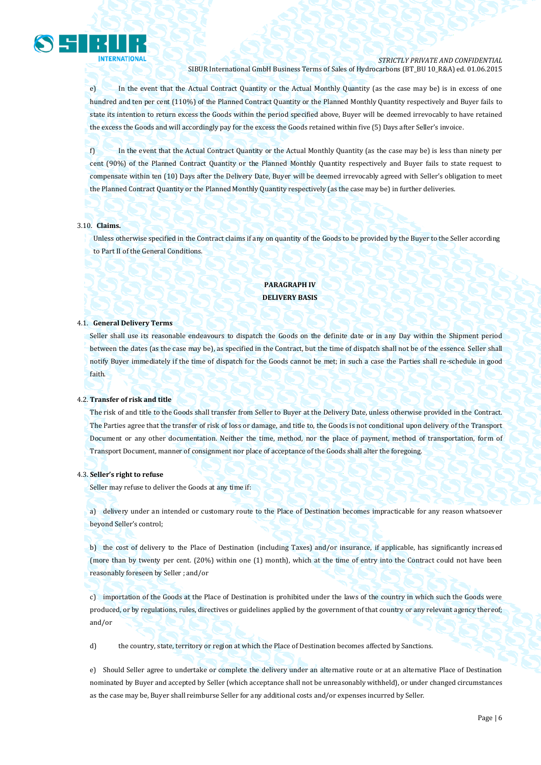

e) In the event that the Actual Contract Quantity or the Actual Monthly Quantity (as the case may be) is in excess of one hundred and ten per cent (110%) of the Planned Contract Quantity or the Planned Monthly Quantity respectively and Buyer fails to state its intention to return excess the Goods within the period specified above, Buyer will be deemed irrevocably to have retained the excess the Goods and will accordingly pay for the excess the Goods retained within five (5) Days after Seller's invoice.

f) In the event that the Actual Contract Quantity or the Actual Monthly Quantity (as the case may be) is less than ninety per cent (90%) of the Planned Contract Quantity or the Planned Monthly Quantity respectively and Buyer fails to state request to compensate within ten (10) Days after the Delivery Date, Buyer will be deemed irrevocably agreed with Seller's obligation to meet the Planned Contract Quantity or the Planned Monthly Quantity respectively (as the case may be) in further deliveries.

#### 3.10. **Claims.**

Unless otherwise specified in the Contract claims if any on quantity of the Goods to be provided by the Buyer to the Seller according to Part II of the General Conditions.

# **PARAGRAPH IV DELIVERY BASIS**

#### 4.1. **General Delivery Terms**

Seller shall use its reasonable endeavours to dispatch the Goods on the definite date or in any Day within the Shipment period between the dates (as the case may be), as specified in the Contract, but the time of dispatch shall not be of the essence. Seller shall notify Buyer immediately if the time of dispatch for the Goods cannot be met; in such a case the Parties shall re-schedule in good faith.

#### 4.2. **Transfer of risk and title**

The risk of and title to the Goods shall transfer from Seller to Buyer at the Delivery Date, unless otherwise provided in the Contract. The Parties agree that the transfer of risk of loss or damage, and title to, the Goods is not conditional upon delivery of the Transport Document or any other documentation. Neither the time, method, nor the place of payment, method of transportation, form of Transport Document, manner of consignment nor place of acceptance of the Goods shall alter the foregoing.

#### 4.3. **Seller's right to refuse**

Seller may refuse to deliver the Goods at any time if:

a) delivery under an intended or customary route to the Place of Destination becomes impracticable for any reason whatsoever beyond Seller's control;

b) the cost of delivery to the Place of Destination (including Taxes) and/or insurance, if applicable, has significantly increased (more than by twenty per cent. (20%) within one (1) month), which at the time of entry into the Contract could not have been reasonably foreseen by Seller ; and/or

c) importation of the Goods at the Place of Destination is prohibited under the laws of the country in which such the Goods were produced, or by regulations, rules, directives or guidelines applied by the government of that country or any relevant agency thereof; and/or

d) the country, state, territory or region at which the Place of Destination becomes affected by Sanctions.

e) Should Seller agree to undertake or complete the delivery under an alternative route or at an alternative Place of Destination nominated by Buyer and accepted by Seller (which acceptance shall not be unreasonably withheld), or under changed circumstances as the case may be, Buyer shall reimburse Seller for any additional costs and/or expenses incurred by Seller.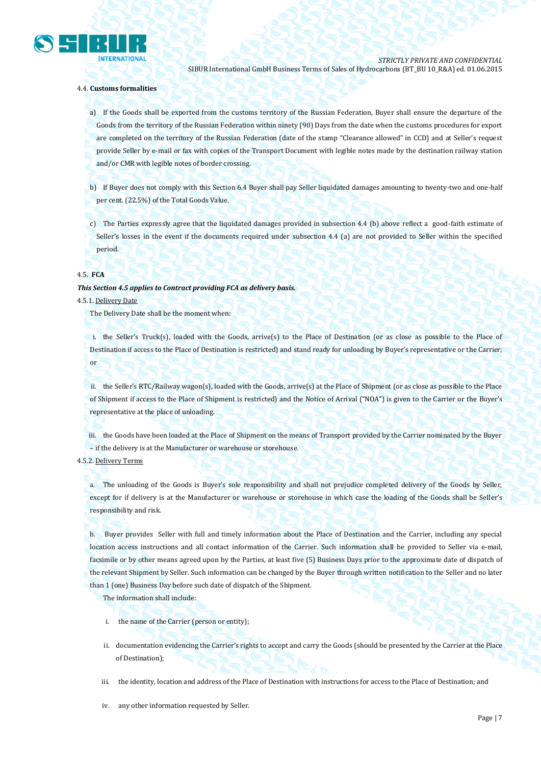

## 4.4. **Customs formalities**

a) If the Goods shall be exported from the customs territory of the Russian Federation, Buyer shall ensure the departure of the Goods from the territory of the Russian Federation within ninety (90) Days from the date when the customs procedures for export are completed on the territory of the Russian Federation (date of the stamp "Clearance allowed" in CCD) and at Seller's request provide Seller by e-mail or fax with copies of the Transport Document with legible notes made by the destination railway station and/or CMR with legible notes of border crossing.

b) If Buyer does not comply with this Section 6.4 Buyer shall pay Seller liquidated damages amounting to twenty-two and one-half per cent. (22.5%) of the Total Goods Value.

c) The Parties expressly agree that the liquidated damages provided in subsection 4.4 (b) above reflect a good-faith estimate of Seller's losses in the event if the documents required under subsection 4.4 (a) are not provided to Seller within the specified period.

#### 4.5. **FCA**

#### *This Section 4.5 applies to Contract providing FCA as delivery basis.*

#### 4.5.1. Delivery Date

The Delivery Date shall be the moment when:

i. the Seller's Truck(s), loaded with the Goods, arrive(s) to the Place of Destination (or as close as possible to the Place of Destination if access to the Place of Destination is restricted) and stand ready for unloading by Buyer's representative or the Carrier; or

ii. the Seller's RTC/Railway wagon(s), loaded with the Goods, arrive(s) at the Place of Shipment (or as close as possible to the Place of Shipment if access to the Place of Shipment is restricted) and the Notice of Arrival ("NOA") is given to the Carrier or the Buyer's representative at the place of unloading.

iii. the Goods have been loaded at the Place of Shipment on the means of Transport provided by the Carrier nominated by the Buyer – if the delivery is at the Manufacturer or warehouse or storehouse.

# 4.5.2. Delivery Terms

a. The unloading of the Goods is Buyer's sole responsibility and shall not prejudice completed delivery of the Goods by Seller, except for if delivery is at the Manufacturer or warehouse or storehouse in which case the loading of the Goods shall be Seller's responsibility and risk.

b. Buyer provides Seller with full and timely information about the Place of Destination and the Carrier, including any special location access instructions and all contact information of the Carrier. Such information shall be provided to Seller via e-mail, facsimile or by other means agreed upon by the Parties, at least five (5) Business Days prior to the approximate date of dispatch of the relevant Shipment by Seller. Such information can be changed by the Buyer through written notification to the Seller and no later than 1 (one) Business Day before such date of dispatch of the Shipment.

The information shall include:

- i. the name of the Carrier (person or entity);
- ii. documentation evidencing the Carrier's rights to accept and carry the Goods (should be presented by the Carrier at the Place of Destination);
- iii. the identity, location and address of the Place of Destination with instructions for access to the Place of Destination; and
- iv. any other information requested by Seller.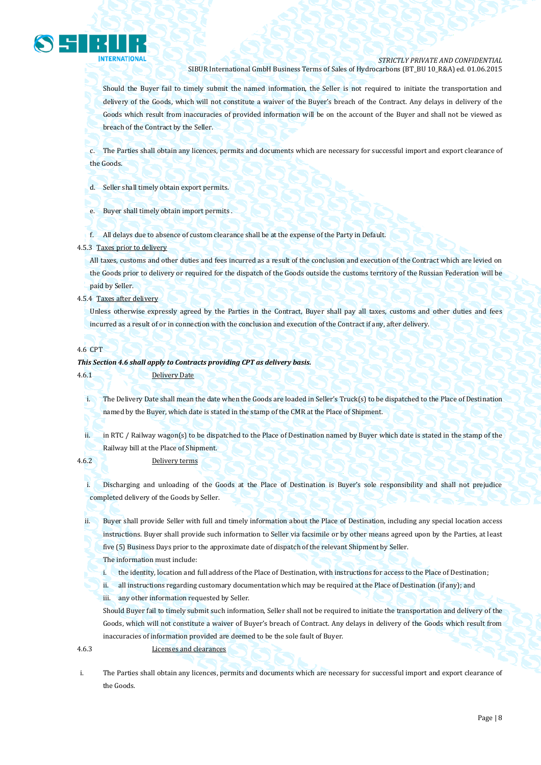

Should the Buyer fail to timely submit the named information, the Seller is not required to initiate the transportation and delivery of the Goods, which will not constitute a waiver of the Buyer's breach of the Contract. Any delays in delivery of the Goods which result from inaccuracies of provided information will be on the account of the Buyer and shall not be viewed as breach of the Contract by the Seller.

c. The Parties shall obtain any licences, permits and documents which are necessary for successful import and export clearance of the Goods.

d. Seller shall timely obtain export permits.

e. Buyer shall timely obtain import permits

f. All delays due to absence of custom clearance shall be at the expense of the Party in Default.

#### 4.5.3 Taxes prior to delivery

All taxes, customs and other duties and fees incurred as a result of the conclusion and execution of the Contract which are levied on the Goods prior to delivery or required for the dispatch of the Goods outside the customs territory of the Russian Federation will be paid by Seller.

4.5.4 Taxes after delivery

Unless otherwise expressly agreed by the Parties in the Contract, Buyer shall pay all taxes, customs and other duties and fees incurred as a result of or in connection with the conclusion and execution of the Contract if any, after delivery.

#### 4.6 CPT

## *This Section 4.6 shall apply to Contracts providing CPT as delivery basis.*

4.6.1 Delivery Date

i. The Delivery Date shall mean the date when the Goods are loaded in Seller's Truck(s) to be dispatched to the Place of Destination named by the Buyer, which date is stated in the stamp of the CMR at the Place of Shipment.

ii. in RTC / Railway wagon(s) to be dispatched to the Place of Destination named by Buyer which date is stated in the stamp of the Railway bill at the Place of Shipment.

4.6.2 Delivery terms

i. Discharging and unloading of the Goods at the Place of Destination is Buyer's sole responsibility and shall not prejudice completed delivery of the Goods by Seller.

ii. Buyer shall provide Seller with full and timely information about the Place of Destination, including any special location access instructions. Buyer shall provide such information to Seller via facsimile or by other means agreed upon by the Parties, at least five (5) Business Days prior to the approximate date of dispatch of the relevant Shipment by Seller.

The information must include:

i. the identity, location and full address of the Place of Destination, with instructions for access to the Place of Destination;

ii. all instructions regarding customary documentation which may be required at the Place of Destination (if any); and

iii. any other information requested by Seller.

Should Buyer fail to timely submit such information, Seller shall not be required to initiate the transportation and delivery of the Goods, which will not constitute a waiver of Buyer's breach of Contract. Any delays in delivery of the Goods which result from inaccuracies of information provided are deemed to be the sole fault of Buyer.

4.6.3 Licenses and clearances

i. The Parties shall obtain any licences, permits and documents which are necessary for successful import and export clearance of the Goods.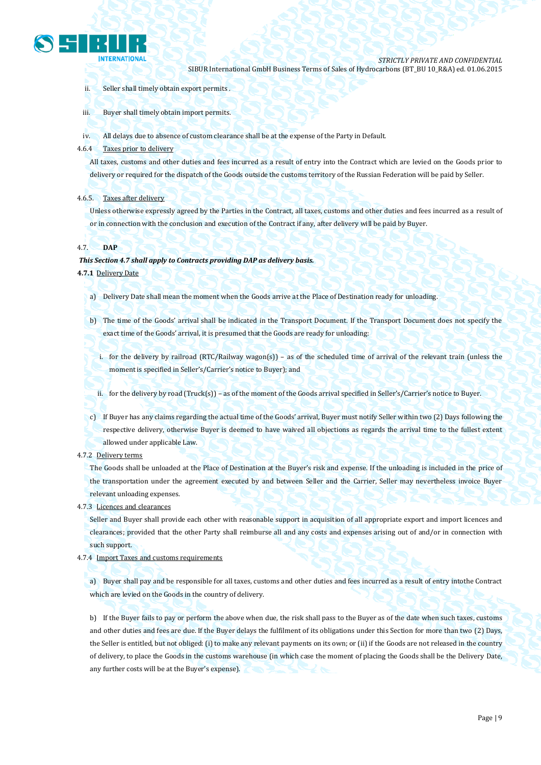

- ii. Seller shall timely obtain export permits .
- iii. Buyer shall timely obtain import permits.
- iv. All delays due to absence of custom clearance shall be at the expense of the Party in Default.
- 4.6.4 Taxes prior to delivery

All taxes, customs and other duties and fees incurred as a result of entry into the Contract which are levied on the Goods prior to delivery or required for the dispatch of the Goods outside the customs territory of the Russian Federation will be paid by Seller.

## 4.6.5. Taxes after delivery

Unless otherwise expressly agreed by the Parties in the Contract, all taxes, customs and other duties and fees incurred as a result of or in connection with the conclusion and execution of the Contract if any, after delivery will be paid by Buyer.

## 4.7. **DAP**

## *This Section 4.7 shall apply to Contracts providing DAP as delivery basis.*

**4.7.1** Delivery Date

- a) Delivery Date shall mean the moment when the Goods arrive at the Place of Destination ready for unloading.
- b) The time of the Goods' arrival shall be indicated in the Transport Document. If the Transport Document does not specify the exact time of the Goods' arrival, it is presumed that the Goods are ready for unloading:
	- i. for the delivery by railroad (RTC/Railway wagon(s)) as of the scheduled time of arrival of the relevant train (unless the moment is specified in Seller's/Carrier's notice to Buyer); and

ii. for the delivery by road (Truck(s)) – as of the moment of the Goods arrival specified in Seller's/Carrier's notice to Buyer.

- c) If Buyer has any claims regarding the actual time of the Goods' arrival, Buyer must notify Seller within two (2) Days following the respective delivery, otherwise Buyer is deemed to have waived all objections as regards the arrival time to the fullest extent allowed under applicable Law.
- 4.7.2 Delivery terms

The Goods shall be unloaded at the Place of Destination at the Buyer's risk and expense. If the unloading is included in the price of the transportation under the agreement executed by and between Seller and the Carrier, Seller may nevertheless invoice Buyer relevant unloading expenses.

4.7.3 Licences and clearances

Seller and Buyer shall provide each other with reasonable support in acquisition of all appropriate export and import licences and clearances; provided that the other Party shall reimburse all and any costs and expenses arising out of and/or in connection with such support.

4.7.4 Import Taxes and customs requirements

a) Buyer shall pay and be responsible for all taxes, customs and other duties and fees incurred as a result of entry intothe Contract which are levied on the Goods in the country of delivery.

b) If the Buyer fails to pay or perform the above when due, the risk shall pass to the Buyer as of the date when such taxes, customs and other duties and fees are due. If the Buyer delays the fulfilment of its obligations under this Section for more than two (2) Days, the Seller is entitled, but not obliged: (i) to make any relevant payments on its own; or (ii) if the Goods are not released in the country of delivery, to place the Goods in the customs warehouse (in which case the moment of placing the Goods shall be the Delivery Date, any further costs will be at the Buyer's expense).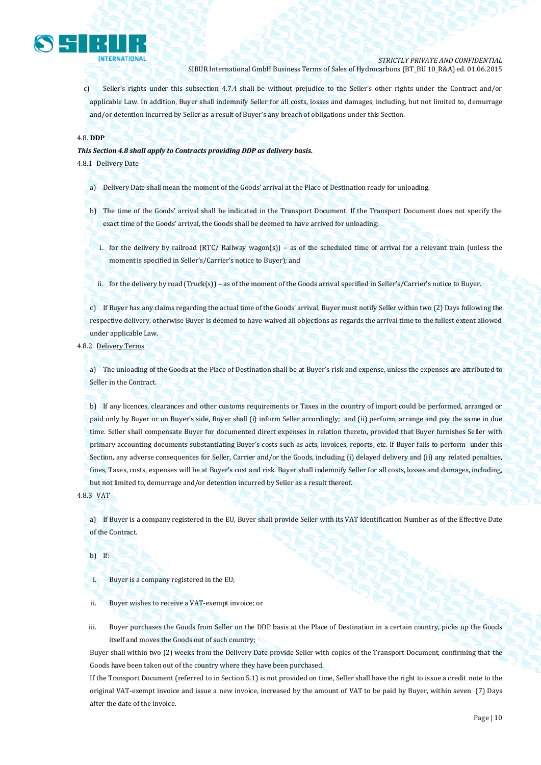

c) Seller's rights under this subsection 4.7.4 shall be without prejudice to the Seller's other rights under the Contract and/or applicable Law. In addition, Buyer shall indemnify Seller for all costs, losses and damages, including, but not limited to, demurrage and/or detention incurred by Seller as a result of Buyer's any breach of obligations under this Section.

## 4.8. **DDP**

*This Section 4.8 shall apply to Contracts providing DDP as delivery basis.*

4.8.1 Delivery Date

- a) Delivery Date shall mean the moment of the Goods' arrival at the Place of Destination ready for unloading.
- b) The time of the Goods' arrival shall be indicated in the Transport Document. If the Transport Document does not specify the exact time of the Goods' arrival, the Goods shall be deemed to have arrived for unloading:
	- i. for the delivery by railroad (RTC/ Railway wagon(s)) as of the scheduled time of arrival for a relevant train (unless the moment is specified in Seller's/Carrier's notice to Buyer); and
	- ii. for the delivery by road (Truck(s)) as of the moment of the Goods arrival specified in Seller's/Carrier's notice to Buyer.

c) If Buyer has any claims regarding the actual time of the Goods' arrival, Buyer must notify Seller within two (2) Days following the respective delivery, otherwise Buyer is deemed to have waived all objections as regards the arrival time to the fullest extent allowed under applicable Law.

4.8.2 Delivery Terms

a) The unloading of the Goods at the Place of Destination shall be at Buyer's risk and expense, unless the expenses are attributed to Seller in the Contract.

b) If any licences, clearances and other customs requirements or Taxes in the country of import could be performed, arranged or paid only by Buyer or on Buyer's side, Buyer shall (i) inform Seller accordingly; and (ii) perform, arrange and pay the same in due time. Seller shall compensate Buyer for documented direct expenses in relation thereto, provided that Buyer furnishes Seller with primary accounting documents substantiating Buyer's costs such as acts, invoices, reports, etc. If Buyer fails to perform under this Section, any adverse consequences for Seller, Carrier and/or the Goods, including (i) delayed delivery and (ii) any related penalties, fines, Taxes, costs, expenses will be at Buyer's cost and risk. Buyer shall indemnify Seller for all costs, losses and damages, including, but not limited to, demurrage and/or detention incurred by Seller as a result thereof.

4.8.3 VAT

a) If Buyer is a company registered in the EU, Buyer shall provide Seller with its VAT Identification Number as of the Effective Date of the Contract.

b) If:

i. Buyer is a company registered in the EU;

ii. Buyer wishes to receive a VAT-exempt invoice; or

iii. Buyer purchases the Goods from Seller on the DDP basis at the Place of Destination in a certain country, picks up the Goods itself and moves the Goods out of such country;

Buyer shall within two (2) weeks from the Delivery Date provide Seller with copies of the Transport Document, confirming that the Goods have been taken out of the country where they have been purchased.

If the Transport Document (referred to in Section 5.1) is not provided on time, Seller shall have the right to issue a credit note to the original VAT-exempt invoice and issue a new invoice, increased by the amount of VAT to be paid by Buyer, within seven (7) Days after the date of the invoice.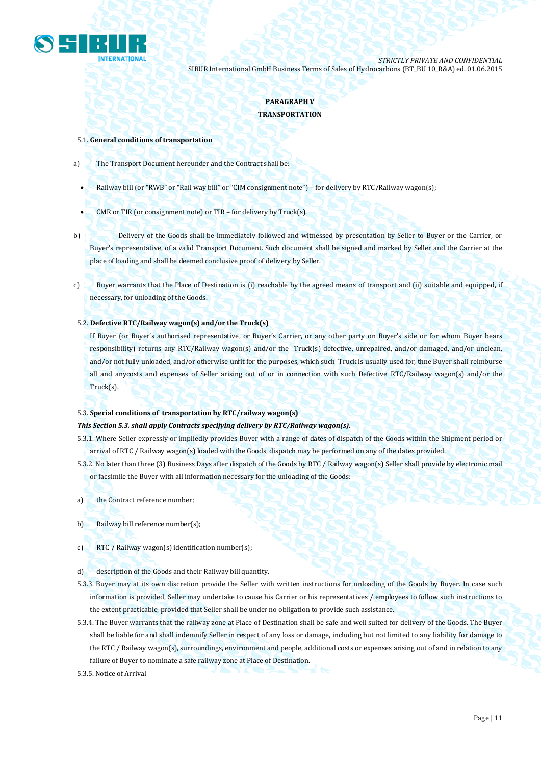

# **PARAGRAPH V TRANSPORTATION**

#### 5.1. **General conditions of transportation**

- a) The Transport Document hereunder and the Contract shall be:
	- Railway bill (or "RWB" or "Rail way bill" or "CIM consignment note") for delivery by RTC/Railway wagon(s);
	- CMR or TIR (or consignment note) or TIR for delivery by Truck(s).
- b) Delivery of the Goods shall be immediately followed and witnessed by presentation by Seller to Buyer or the Carrier, or Buyer's representative, of a valid Transport Document. Such document shall be signed and marked by Seller and the Carrier at the place of loading and shall be deemed conclusive proof of delivery by Seller.
- c) Buyer warrants that the Place of Destination is (i) reachable by the agreed means of transport and (ii) suitable and equipped, if necessary, for unloading of the Goods.

## 5.2. **Defective RTC/Railway wagon(s) and/or the Truck(s)**

If Buyer (or Buyer's authorised representative, or Buyer's Carrier, or any other party on Buyer's side or for whom Buyer bears responsibility) returns any RTC/Railway wagon(s) and/or the Truck(s) defective, unrepaired, and/or damaged, and/or unclean, and/or not fully unloaded, and/or otherwise unfit for the purposes, which such Truck is usually used for, thne Buyer shall reimburse all and anycosts and expenses of Seller arising out of or in connection with such Defective RTC/Railway wagon(s) and/or the Truck(s).

#### 5.3. **Special conditions of transportation by RTC/railway wagon(s)**

## *This Section 5.3. shall apply Contracts specifying delivery by RTC/Railway wagon(s).*

- 5.3.1. Where Seller expressly or impliedly provides Buyer with a range of dates of dispatch of the Goods within the Shipment period or arrival of RTC / Railway wagon(s) loaded with the Goods, dispatch may be performed on any of the dates provided.
- 5.3.2. No later than three (3) Business Days after dispatch of the Goods by RTC / Railway wagon(s) Seller shall provide by electronic mail or facsimile the Buyer with all information necessary for the unloading of the Goods:
- a) the Contract reference number;
- b) Railway bill reference number(s);
- c) RTC / Railway wagon(s) identification number(s);
- d) description of the Goods and their Railway bill quantity.
- 5.3.3. Buyer may at its own discretion provide the Seller with written instructions for unloading of the Goods by Buyer. In case such information is provided, Seller may undertake to cause his Carrier or his representatives / employees to follow such instructions to the extent practicable, provided that Seller shall be under no obligation to provide such assistance.
- 5.3.4. The Buyer warrants that the railway zone at Place of Destination shall be safe and well suited for delivery of the Goods. The Buyer shall be liable for and shall indemnify Seller in respect of any loss or damage, including but not limited to any liability for damage to the RTC / Railway wagon(s), surroundings, environment and people, additional costs or expenses arising out of and in relation to any failure of Buyer to nominate a safe railway zone at Place of Destination.
- 5.3.5. Notice of Arrival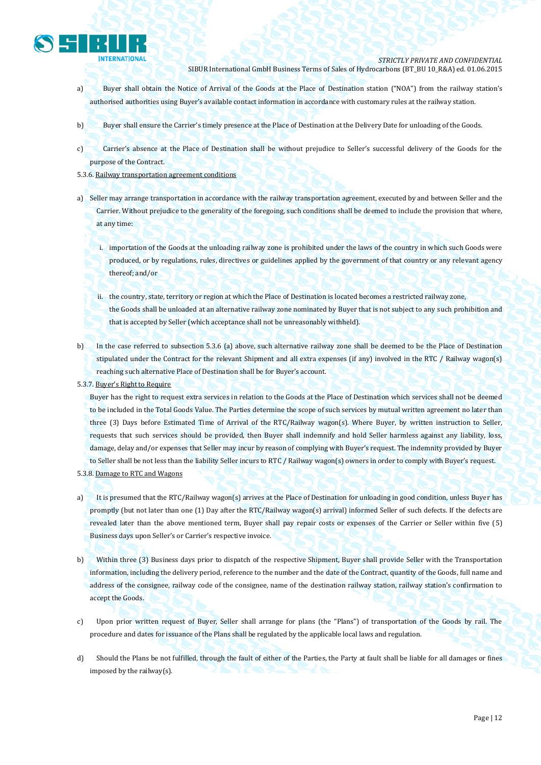

- a) Buyer shall obtain the Notice of Arrival of the Goods at the Place of Destination station ("NOA") from the railway station's authorised authorities using Buyer's available contact information in accordance with customary rules at the railway station.
- b) Buyer shall ensure the Carrier's timely presence at the Place of Destination at the Delivery Date for unloading of the Goods.
- c) Carrier's absence at the Place of Destination shall be without prejudice to Seller's successful delivery of the Goods for the purpose of the Contract.
- 5.3.6. Railway transportation agreement conditions
- a) Seller may arrange transportation in accordance with the railway transportation agreement, executed by and between Seller and the Carrier. Without prejudice to the generality of the foregoing, such conditions shall be deemed to include the provision that where, at any time:
	- i. importation of the Goods at the unloading railway zone is prohibited under the laws of the country in which such Goods were produced, or by regulations, rules, directives or guidelines applied by the government of that country or any relevant agency thereof; and/or
	- ii. the country, state, territory or region at which the Place of Destination is located becomes a restricted railway zone, the Goods shall be unloaded at an alternative railway zone nominated by Buyer that is not subject to any such prohibition and that is accepted by Seller (which acceptance shall not be unreasonably withheld).
- b) In the case referred to subsection 5.3.6 (a) above, such alternative railway zone shall be deemed to be the Place of Destination stipulated under the Contract for the relevant Shipment and all extra expenses (if any) involved in the RTC / Railway wagon(s) reaching such alternative Place of Destination shall be for Buyer's account.
- 5.3.7. Buyer's Right to Require

Buyer has the right to request extra services in relation to the Goods at the Place of Destination which services shall not be deemed to be included in the Total Goods Value. The Parties determine the scope of such services by mutual written agreement no later than three (3) Days before Estimated Time of Arrival of the RTC/Railway wagon(s). Where Buyer, by written instruction to Seller, requests that such services should be provided, then Buyer shall indemnify and hold Seller harmless against any liability, loss, damage, delay and/or expenses that Seller may incur by reason of complying with Buyer's request. The indemnity provided by Buyer to Seller shall be not less than the liability Seller incurs to RTC / Railway wagon(s) owners in order to comply with Buyer's request.

- 5.3.8. Damage to RTC and Wagons
- a) It is presumed that the RTC/Railway wagon(s) arrives at the Place of Destination for unloading in good condition, unless Buyer has promptly (but not later than one (1) Day after the RTC/Railway wagon(s) arrival) informed Seller of such defects. If the defects are revealed later than the above mentioned term, Buyer shall pay repair costs or expenses of the Carrier or Seller within five (5) Business days upon Seller's or Carrier's respective invoice.
- b) Within three (3) Business days prior to dispatch of the respective Shipment, Buyer shall provide Seller with the Transportation information, including the delivery period, reference to the number and the date of the Contract, quantity of the Goods, full name and address of the consignee, railway code of the consignee, name of the destination railway station, railway station's confirmation to accept the Goods.
- c) Upon prior written request of Buyer, Seller shall arrange for plans (the "Plans") of transportation of the Goods by rail. The procedure and dates for issuance of the Plans shall be regulated by the applicable local laws and regulation.
- d) Should the Plans be not fulfilled, through the fault of either of the Parties, the Party at fault shall be liable for all damages or fines imposed by the railway(s).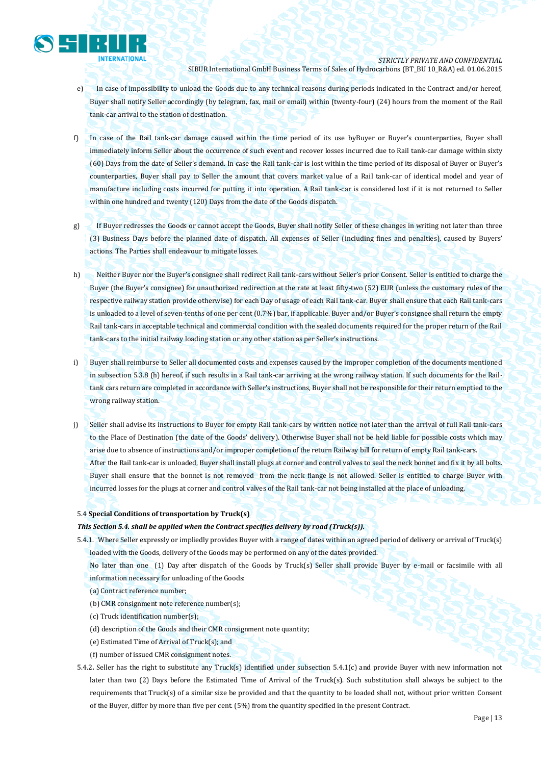

- e) In case of impossibility to unload the Goods due to any technical reasons during periods indicated in the Contract and/or hereof, Buyer shall notify Seller accordingly (by telegram, fax, mail or email) within (twenty-four) (24) hours from the moment of the Rail tank-car arrival to the station of destination.
- f) In case of the Rail tank-car damage caused within the time period of its use byBuyer or Buyer's counterparties, Buyer shall immediately inform Seller about the occurrence of such event and recover losses incurred due to Rail tank-car damage within sixty (60) Days from the date of Seller's demand. In case the Rail tank-car is lost within the time period of its disposal of Buyer or Buyer's counterparties, Buyer shall pay to Seller the amount that covers market value of a Rail tank-car of identical model and year of manufacture including costs incurred for putting it into operation. A Rail tank-car is considered lost if it is not returned to Seller within one hundred and twenty (120) Days from the date of the Goods dispatch.
- g) If Buyer redresses the Goods or cannot accept the Goods, Buyer shall notify Seller of these changes in writing not later than three (3) Business Days before the planned date of dispatch. All expenses of Seller (including fines and penalties), caused by Buyers' actions. The Parties shall endeavour to mitigate losses.
- h) Neither Buyer nor the Buyer's consignee shall redirect Rail tank-cars without Seller's prior Consent. Seller is entitled to charge the Buyer (the Buyer's consignee) for unauthorized redirection at the rate at least fifty-two (52) EUR (unless the customary rules of the respective railway station provide otherwise) for each Day of usage of each Rail tank-car. Buyer shall ensure that each Rail tank-cars is unloaded to a level of seven-tenths of one per cent (0.7%) bar, if applicable. Buyer and/or Buyer's consignee shall return the empty Rail tank-cars in acceptable technical and commercial condition with the sealed documents required for the proper return of the Rail tank-cars to the initial railway loading station or any other station as per Seller's instructions.
- i) Buyer shall reimburse to Seller all documented costs and expenses caused by the improper completion of the documents mentioned in subsection 5.3.8 (h) hereof, if such results in a Rail tank-car arriving at the wrong railway station. If such documents for the Railtank cars return are completed in accordance with Seller's instructions, Buyer shall not be responsible for their return emptied to the wrong railway station.
- j) Seller shall advise its instructions to Buyer for empty Rail tank-cars by written notice not later than the arrival of full Rail tank-cars to the Place of Destination (the date of the Goods' delivery). Otherwise Buyer shall not be held liable for possible costs which may arise due to absence of instructions and/or improper completion of the return Railway bill for return of empty Rail tank-cars. After the Rail tank-car is unloaded, Buyer shall install plugs at corner and control valves to seal the neck bonnet and fix it by all bolts. Buyer shall ensure that the bonnet is not removed from the neck flange is not allowed. Seller is entitled to charge Buyer with incurred losses for the plugs at corner and control valves of the Rail tank-car not being installed at the place of unloading.

#### 5.4 **Special Conditions of transportation by Truck(s)**

#### *This Section 5.4. shall be applied when the Contract specifies delivery by road (Truck(s)).*

5.4.1. Where Seller expressly or impliedly provides Buyer with a range of dates within an agreed period of delivery or arrival of Truck(s) loaded with the Goods, delivery of the Goods may be performed on any of the dates provided.

No later than one (1) Day after dispatch of the Goods by Truck(s) Seller shall provide Buyer by e-mail or facsimile with all information necessary for unloading of the Goods:

- (a) Contract reference number;
- (b) CMR consignment note reference number(s);
- (c) Truck identification number(s);
- (d) description of the Goods and their CMR consignment note quantity;
- (e) Estimated Time of Arrival of Truck(s); and
- (f) number of issued CMR consignment notes.
- 5.4.2**.** Seller has the right to substitute any Truck(s) identified under subsection 5.4.1(c) and provide Buyer with new information not later than two (2) Days before the Estimated Time of Arrival of the Truck(s). Such substitution shall always be subject to the requirements that Truck(s) of a similar size be provided and that the quantity to be loaded shall not, without prior written Consent of the Buyer, differ by more than five per cent. (5%) from the quantity specified in the present Contract.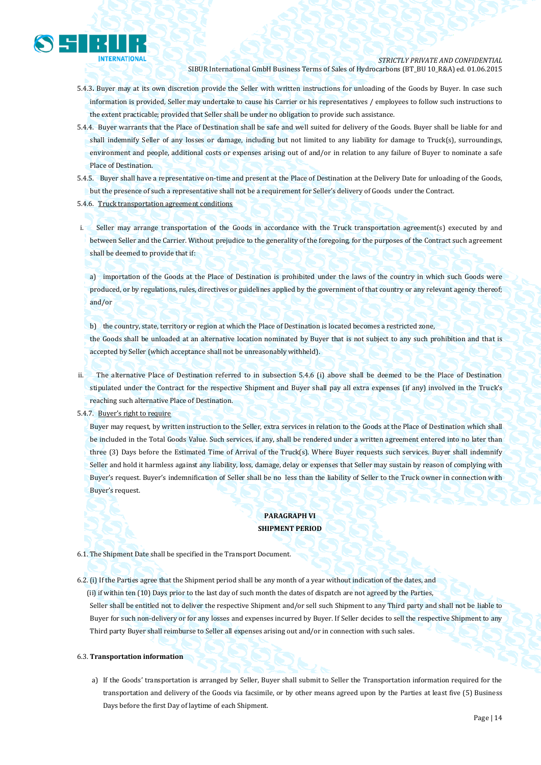

- 5.4.3**.** Buyer may at its own discretion provide the Seller with written instructions for unloading of the Goods by Buyer. In case such information is provided, Seller may undertake to cause his Carrier or his representatives / employees to follow such instructions to the extent practicable; provided that Seller shall be under no obligation to provide such assistance.
- 5.4.4. Buyer warrants that the Place of Destination shall be safe and well suited for delivery of the Goods. Buyer shall be liable for and shall indemnify Seller of any losses or damage, including but not limited to any liability for damage to Truck(s), surroundings, environment and people, additional costs or expenses arising out of and/or in relation to any failure of Buyer to nominate a safe Place of Destination.
- 5.4.5. Buyer shall have a representative on-time and present at the Place of Destination at the Delivery Date for unloading of the Goods, but the presence of such a representative shall not be a requirement for Seller's delivery of Goods under the Contract.

#### 5.4.6. Truck transportation agreement conditions

i. Seller may arrange transportation of the Goods in accordance with the Truck transportation agreement(s) executed by and between Seller and the Carrier. Without prejudice to the generality of the foregoing, for the purposes of the Contract such agreement shall be deemed to provide that if:

a) importation of the Goods at the Place of Destination is prohibited under the laws of the country in which such Goods were produced, or by regulations, rules, directives or guidelines applied by the government of that country or any relevant agency thereof; and/or

b) the country, state, territory or region at which the Place of Destination is located becomes a restricted zone,

the Goods shall be unloaded at an alternative location nominated by Buyer that is not subject to any such prohibition and that is accepted by Seller (which acceptance shall not be unreasonably withheld).

ii. The alternative Place of Destination referred to in subsection 5.4.6 (i) above shall be deemed to be the Place of Destination stipulated under the Contract for the respective Shipment and Buyer shall pay all extra expenses (if any) involved in the Truck's reaching such alternative Place of Destination.

5.4.7. Buyer's right to require

Buyer may request, by written instruction to the Seller, extra services in relation to the Goods at the Place of Destination which shall be included in the Total Goods Value. Such services, if any, shall be rendered under a written agreement entered into no later than three (3) Days before the Estimated Time of Arrival of the Truck(s). Where Buyer requests such services. Buyer shall indemnify Seller and hold it harmless against any liability, loss, damage, delay or expenses that Seller may sustain by reason of complying with Buyer's request. Buyer's indemnification of Seller shall be no less than the liability of Seller to the Truck owner in connection with Buyer's request.

# **PARAGRAPH VI SHIPMENT PERIOD**

6.1. The Shipment Date shall be specified in the Transport Document.

6.2. (i) If the Parties agree that the Shipment period shall be any month of a year without indication of the dates, and (ii) if within ten (10) Days prior to the last day of such month the dates of dispatch are not agreed by the Parties, Seller shall be entitled not to deliver the respective Shipment and/or sell such Shipment to any Third party and shall not be liable to Buyer for such non-delivery or for any losses and expenses incurred by Buyer. If Seller decides to sell the respective Shipment to any Third party Buyer shall reimburse to Seller all expenses arising out and/or in connection with such sales.

#### 6.3. **Transportation information**

a) If the Goods' transportation is arranged by Seller, Buyer shall submit to Seller the Transportation information required for the transportation and delivery of the Goods via facsimile, or by other means agreed upon by the Parties at least five (5) Business Days before the first Day of laytime of each Shipment.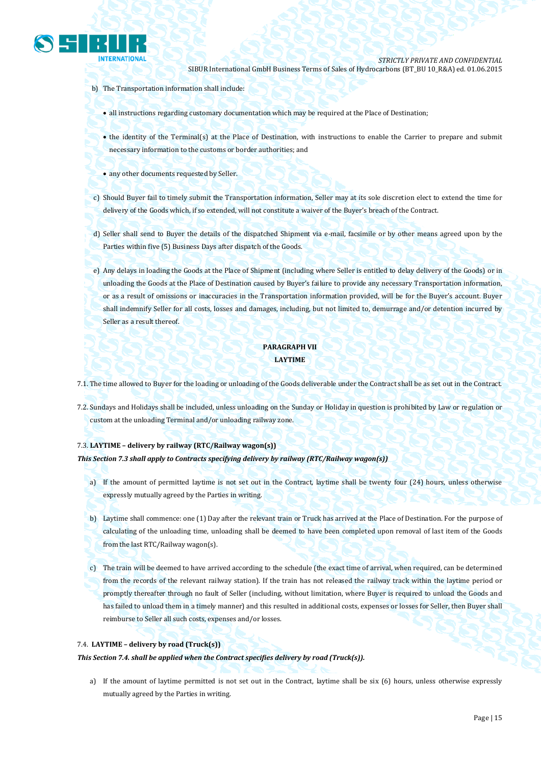

- b) The Transportation information shall include:
	- all instructions regarding customary documentation which may be required at the Place of Destination;
	- the identity of the Terminal(s) at the Place of Destination, with instructions to enable the Carrier to prepare and submit necessary information to the customs or border authorities; and
	- any other documents requested by Seller.
- c) Should Buyer fail to timely submit the Transportation information, Seller may at its sole discretion elect to extend the time for delivery of the Goods which, if so extended, will not constitute a waiver of the Buyer's breach of the Contract.
- d) Seller shall send to Buyer the details of the dispatched Shipment via e-mail, facsimile or by other means agreed upon by the Parties within five (5) Business Days after dispatch of the Goods.
- e) Any delays in loading the Goods at the Place of Shipment (including where Seller is entitled to delay delivery of the Goods) or in unloading the Goods at the Place of Destination caused by Buyer's failure to provide any necessary Transportation information, or as a result of omissions or inaccuracies in the Transportation information provided, will be for the Buyer's account. Buyer shall indemnify Seller for all costs, losses and damages, including, but not limited to, demurrage and/or detention incurred by Seller as a result thereof.

# **PARAGRAPH VII LAYTIME**

- 7.1. The time allowed to Buyer for the loading or unloading of the Goods deliverable under the Contract shall be as set out in the Contract.
- 7.2. Sundays and Holidays shall be included, unless unloading on the Sunday or Holiday in question is prohibited by Law or regulation or custom at the unloading Terminal and/or unloading railway zone.

## 7.3. **LAYTIME – delivery by railway (RTC/Railway wagon(s))**

#### *This Section 7.3 shall apply to Contracts specifying delivery by railway (RTC/Railway wagon(s))*

- a) If the amount of permitted laytime is not set out in the Contract, laytime shall be twenty four (24) hours, unless otherwise expressly mutually agreed by the Parties in writing.
- b) Laytime shall commence: one (1) Day after the relevant train or Truck has arrived at the Place of Destination. For the purpose of calculating of the unloading time, unloading shall be deemed to have been completed upon removal of last item of the Goods from the last RTC/Railway wagon(s).
- c) The train will be deemed to have arrived according to the schedule (the exact time of arrival, when required, can be determined from the records of the relevant railway station). If the train has not released the railway track within the laytime period or promptly thereafter through no fault of Seller (including, without limitation, where Buyer is required to unload the Goods and has failed to unload them in a timely manner) and this resulted in additional costs, expenses or losses for Seller, then Buyer shall reimburse to Seller all such costs, expenses and/or losses.

#### 7.4. **LAYTIME – delivery by road (Truck(s))**

*This Section 7.4. shall be applied when the Contract specifies delivery by road (Truck(s)).*

a) If the amount of laytime permitted is not set out in the Contract, laytime shall be six (6) hours, unless otherwise expressly mutually agreed by the Parties in writing.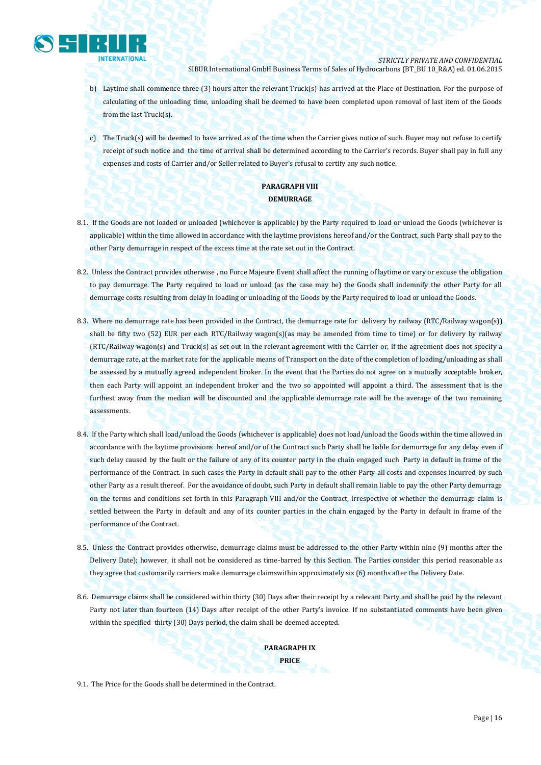

- b) Laytime shall commence three (3) hours after the relevant Truck(s) has arrived at the Place of Destination. For the purpose of calculating of the unloading time, unloading shall be deemed to have been completed upon removal of last item of the Goods from the last Truck(s).
- c) The Truck(s) will be deemed to have arrived as of the time when the Carrier gives notice of such. Buyer may not refuse to certify receipt of such notice and the time of arrival shall be determined according to the Carrier's records. Buyer shall pay in full any expenses and costs of Carrier and/or Seller related to Buyer's refusal to certify any such notice.

# **PARAGRAPH VIII DEMURRAGE**

- 8.1. If the Goods are not loaded or unloaded (whichever is applicable) by the Party required to load or unload the Goods (whichever is applicable) within the time allowed in accordance with the laytime provisions hereof and/or the Contract, such Party shall pay to the other Party demurrage in respect of the excess time at the rate set out in the Contract.
- 8.2. Unless the Contract provides otherwise , no Force Majeure Event shall affect the running of laytime or vary or excuse the obligation to pay demurrage. The Party required to load or unload (as the case may be) the Goods shall indemnify the other Party for all demurrage costs resulting from delay in loading or unloading of the Goods by the Party required to load or unload the Goods.
- 8.3. Where no demurrage rate has been provided in the Contract, the demurrage rate for delivery by railway (RTC/Railway wagon(s)) shall be fifty two (52) EUR per each RTC/Railway wagon(s)(as may be amended from time to time) or for delivery by railway (RTC/Railway wagon(s) and Truck(s) as set out in the relevant agreement with the Carrier or, if the agreement does not specify a demurrage rate, at the market rate for the applicable means of Transport on the date of the completion of loading/unloading as shall be assessed by a mutually agreed independent broker. In the event that the Parties do not agree on a mutually acceptable broker, then each Party will appoint an independent broker and the two so appointed will appoint a third. The assessment that is the furthest away from the median will be discounted and the applicable demurrage rate will be the average of the two remaining assessments.
- 8.4. If the Party which shall load/unload the Goods (whichever is applicable) does not load/unload the Goods within the time allowed in accordance with the laytime provisions hereof and/or of the Contract such Party shall be liable for demurrage for any delay even if such delay caused by the fault or the failure of any of its counter party in the chain engaged such Party in default in frame of the performance of the Contract. In such cases the Party in default shall pay to the other Party all costs and expenses incurred by such other Party as a result thereof. For the avoidance of doubt, such Party in default shall remain liable to pay the other Party demurrage on the terms and conditions set forth in this Paragraph VIII and/or the Contract, irrespective of whether the demurrage claim is settled between the Party in default and any of its counter parties in the chain engaged by the Party in default in frame of the performance of the Contract.
- 8.5. Unless the Contract provides otherwise, demurrage claims must be addressed to the other Party within nine (9) months after the Delivery Date); however, it shall not be considered as time-barred by this Section. The Parties consider this period reasonable as they agree that customarily carriers make demurrage claimswithin approximately six (6) months after the Delivery Date.
- 8.6. Demurrage claims shall be considered within thirty (30) Days after their receipt by a relevant Party and shall be paid by the relevant Party not later than fourteen (14) Days after receipt of the other Party's invoice. If no substantiated comments have been given within the specified thirty (30) Days period, the claim shall be deemed accepted.

**PARAGRAPH IX PRICE**

9.1. The Price for the Goods shall be determined in the Contract.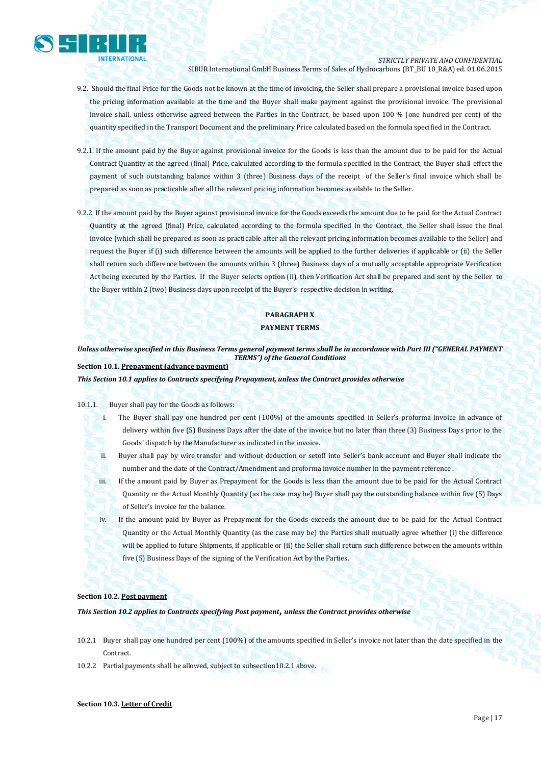

# *STRICTLY PRIVATE AND CONFIDENTIAL*

SIBUR International GmbH Business Terms of Sales of Hydrocarbons (BT\_BU 10\_R&A) ed. 01.06.2015

- 9.2. Should the final Price for the Goods not be known at the time of invoicing, the Seller shall prepare a provisional invoice based upon the pricing information available at the time and the Buyer shall make payment against the provisional invoice. The provisional invoice shall, unless otherwise agreed between the Parties in the Contract, be based upon 100 % (one hundred per cent) of the quantity specified in the Transport Document and the preliminary Price calculated based on the formula specified in the Contract.
- 9.2.1. If the amount paid by the Buyer against provisional invoice for the Goods is less than the amount due to be paid for the Actual Contract Quantity at the agreed (final) Price, calculated according to the formula specified in the Contract, the Buyer shall effect the payment of such outstanding balance within 3 (three) Business days of the receipt of the Seller's final invoice which shall be prepared as soon as practicable after all the relevant pricing information becomes available to the Seller.
- 9.2.2. If the amount paid by the Buyer against provisional invoice for the Goods exceeds the amount due to be paid for the Actual Contract Quantity at the agreed (final) Price, calculated according to the formula specified in the Contract, the Seller shall issue the final invoice (which shall be prepared as soon as practicable after all the relevant pricing information becomes available to the Seller) and request the Buyer if (i) such difference between the amounts will be applied to the further deliveries if applicable or (ii) the Seller shall return such difference between the amounts within 3 (three) Business days of a mutually acceptable appropriate Verification Act being executed by the Parties. If the Buyer selects option (ii), then Verification Act shall be prepared and sent by the Seller to the Buyer within 2 (two) Business days upon receipt of the Buyer's respective decision in writing.

# **PARAGRAPH X**

# **PAYMENT TERMS**

*Unless otherwise specified in this Business Terms general payment terms shall be in accordance with Part III ("GENERAL PAYMENT TERMS") of the General Conditions*

**Section 10.1. Prepayment (advance payment)**

*This Section 10.1 applies to Contracts specifying Prepayment, unless the Contract provides otherwise*

#### 10.1.1. Buyer shall pay for the Goods as follows:

- i. The Buyer shall pay one hundred per cent (100%) of the amounts specified in Seller's proforma invoice in advance of delivery within five (5) Business Days after the date of the invoice but no later than three (3) Business Days prior to the Goods' dispatch by the Manufacturer as indicated in the invoice.
- ii. Buyer shall pay by wire transfer and without deduction or setoff into Seller's bank account and Buyer shall indicate the number and the date of the Contract/Amendment and proforma invoice number in the payment reference .
- iii. If the amount paid by Buyer as Prepayment for the Goods is less than the amount due to be paid for the Actual Contract Quantity or the Actual Monthly Quantity (as the case may be) Buyer shall pay the outstanding balance within five (5) Days of Seller's invoice for the balance.
- iv. If the amount paid by Buyer as Prepayment for the Goods exceeds the amount due to be paid for the Actual Contract Quantity or the Actual Monthly Quantity (as the case may be) the Parties shall mutually agree whether (i) the difference will be applied to future Shipments, if applicable or (ii) the Seller shall return such difference between the amounts within five (5) Business Days of the signing of the Verification Act by the Parties.

## **Section 10.2. Post payment**

*This Section 10.2 applies to Contracts specifying Post payment***,** *unless the Contract provides otherwise*

- 10.2.1 Buyer shall pay one hundred per cent (100%) of the amounts specified in Seller's invoice not later than the date specified in the Contract.
- 10.2.2 Partial payments shall be allowed, subject to subsection10.2.1 above.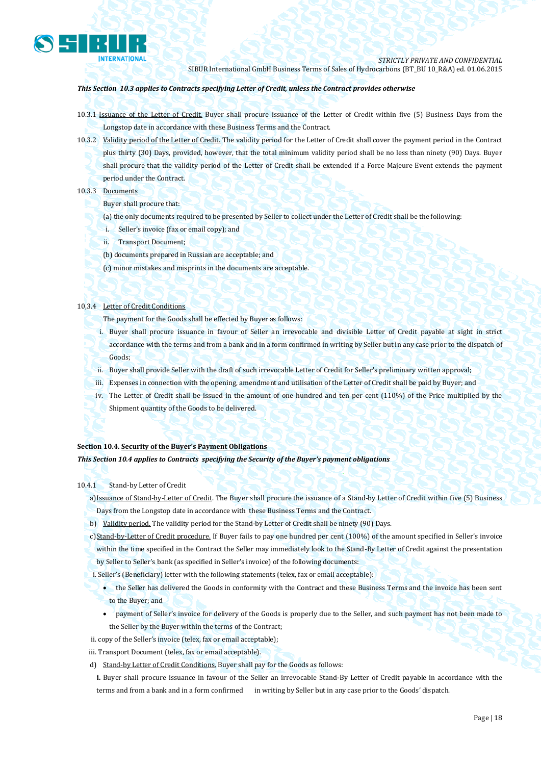

## *This Section 10.3 applies to Contracts specifying Letter of Credit, unless the Contract provides otherwise*

- 10.3.1 Issuance of the Letter of Credit. Buyer shall procure issuance of the Letter of Credit within five (5) Business Days from the Longstop date in accordance with these Business Terms and the Contract.
- 10.3.2 Validity period of the Letter of Credit. The validity period for the Letter of Credit shall cover the payment period in the Contract plus thirty (30) Days, provided, however, that the total minimum validity period shall be no less than ninety (90) Days. Buyer shall procure that the validity period of the Letter of Credit shall be extended if a Force Majeure Event extends the payment period under the Contract.

## 10.3.3 Documents

- Buyer shall procure that:
- (a) the only documents required to be presented by Seller to collect under the Letter of Credit shall be the following:
- i. Seller's invoice (fax or email copy); and
- ii. Transport Document;
- (b) documents prepared in Russian are acceptable; and
- (c) minor mistakes and misprints in the documents are acceptable.

# 10,3.4 Letter of Credit Conditions

The payment for the Goods shall be effected by Buyer as follows:

- i. Buyer shall procure issuance in favour of Seller an irrevocable and divisible Letter of Credit payable at sight in strict accordance with the terms and from a bank and in a form confirmed in writing by Seller but in any case prior to the dispatch of Goods;
- ii. Buyer shall provide Seller with the draft of such irrevocable Letter of Credit for Seller's preliminary written approval;
- iii. Expenses in connection with the opening, amendment and utilisation of the Letter of Credit shall be paid by Buyer; and
- iv. The Letter of Credit shall be issued in the amount of one hundred and ten per cent (110%) of the Price multiplied by the Shipment quantity of the Goods to be delivered.

## **Section 10.4. Security of the Buyer's Payment Obligations**

*This Section 10.4 applies to Contracts specifying the Security of the Buyer's payment obligations*

## 10.4.1 Stand-by Letter of Credit

a)Issuance of Stand-by-Letter of Credit. The Buyer shall procure the issuance of a Stand-by Letter of Credit within five (5) Business Days from the Longstop date in accordance with these Business Terms and the Contract.

- b) Validity period. The validity period for the Stand-by Letter of Credit shall be ninety (90) Days.
- c)Stand-by-Letter of Credit procedure. If Buyer fails to pay one hundred per cent (100%) of the amount specified in Seller's invoice
- within the time specified in the Contract the Seller may immediately look to the Stand-By Letter of Credit against the presentation by Seller to Seller's bank (as specified in Seller's invoice) of the following documents:
- i. Seller's (Beneficiary) letter with the following statements (telex, fax or email acceptable):
	- the Seller has delivered the Goods in conformity with the Contract and these Business Terms and the invoice has been sent to the Buyer; and
	- payment of Seller's invoice for delivery of the Goods is properly due to the Seller, and such payment has not been made to the Seller by the Buyer within the terms of the Contract;
- ii. copy of the Seller's invoice (telex, fax or email acceptable);
- iii. Transport Document (telex, fax or email acceptable).
- d) Stand-by Letter of Credit Conditions. Buyer shall pay for the Goods as follows:

**i.** Buyer shall procure issuance in favour of the Seller an irrevocable Stand-By Letter of Credit payable in accordance with the terms and from a bank and in a form confirmed in writing by Seller but in any case prior to the Goods' dispatch.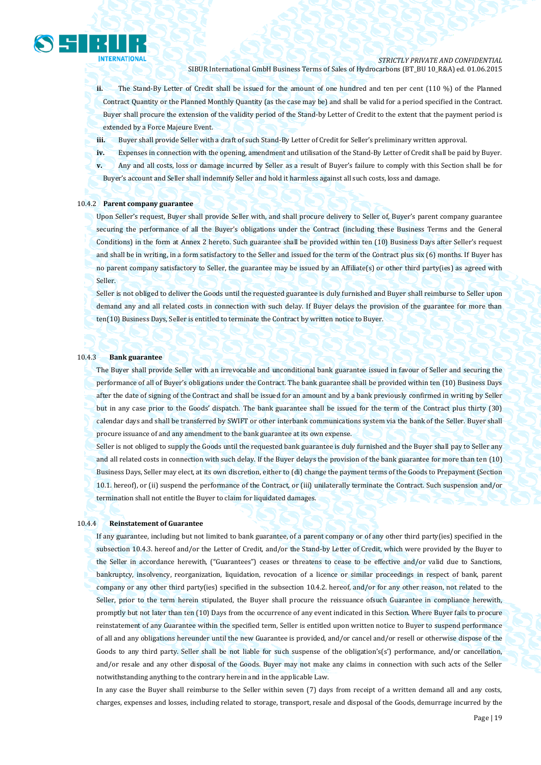

*STRICTLY PRIVATE AND CONFIDENTIAL*

SIBUR International GmbH Business Terms of Sales of Hydrocarbons (BT\_BU 10\_R&A) ed. 01.06.2015

**ii.** The Stand-By Letter of Credit shall be issued for the amount of one hundred and ten per cent (110 %) of the Planned Contract Quantity or the Planned Monthly Quantity (as the case may be) and shall be valid for a period specified in the Contract. Buyer shall procure the extension of the validity period of the Stand-by Letter of Credit to the extent that the payment period is extended by a Force Majeure Event.

**iii.** Buyer shall provide Seller with a draft of such Stand-By Letter of Credit for Seller's preliminary written approval.

**iv.** Expenses in connection with the opening, amendment and utilisation of the Stand-By Letter of Credit shall be paid by Buyer.

**v.** Any and all costs, loss or damage incurred by Seller as a result of Buyer's failure to comply with this Section shall be for Buyer's account and Seller shall indemnify Seller and hold it harmless against all such costs, loss and damage.

#### 10.4.2 **Parent company guarantee**

Upon Seller's request, Buyer shall provide Seller with, and shall procure delivery to Seller of, Buyer's parent company guarantee securing the performance of all the Buyer's obligations under the Contract (including these Business Terms and the General Conditions) in the form at Annex 2 hereto. Such guarantee shall be provided within ten (10) Business Days after Seller's request and shall be in writing, in a form satisfactory to the Seller and issued for the term of the Contract plus six (6) months. If Buyer has no parent company satisfactory to Seller, the guarantee may be issued by an Affiliate(s) or other third party(ies) as agreed with Seller.

Seller is not obliged to deliver the Goods until the requested guarantee is duly furnished and Buyer shall reimburse to Seller upon demand any and all related costs in connection with such delay. If Buyer delays the provision of the guarantee for more than ten(10) Business Days, Seller is entitled to terminate the Contract by written notice to Buyer.

#### 10.4.3 **Bank guarantee**

The Buyer shall provide Seller with an irrevocable and unconditional bank guarantee issued in favour of Seller and securing the performance of all of Buyer's obligations under the Contract. The bank guarantee shall be provided within ten (10) Business Days after the date of signing of the Contract and shall be issued for an amount and by a bank previously confirmed in writing by Seller but in any case prior to the Goods' dispatch. The bank guarantee shall be issued for the term of the Contract plus thirty (30) calendar days and shall be transferred by SWIFT or other interbank communications system via the bank of the Seller. Buyer shall procure issuance of and any amendment to the bank guarantee at its own expense.

Seller is not obliged to supply the Goods until the requested bank guarantee is duly furnished and the Buyer shall pay to Seller any and all related costs in connection with such delay. If the Buyer delays the provision of the bank guarantee for more than ten (10) Business Days, Seller may elect, at its own discretion, either to (di) change the payment terms of the Goods to Prepayment (Section 10.1. hereof), or (ii) suspend the performance of the Contract, or (iii) unilaterally terminate the Contract. Such suspension and/or termination shall not entitle the Buyer to claim for liquidated damages.

#### 10.4.4 **Reinstatement of Guarantee**

If any guarantee, including but not limited to bank guarantee, of a parent company or of any other third party(ies) specified in the subsection 10.4.3. hereof and/or the Letter of Credit, and/or the Stand-by Letter of Credit, which were provided by the Buyer to the Seller in accordance herewith, ("Guarantees") ceases or threatens to cease to be effective and/or valid due to Sanctions, bankruptcy, insolvency, reorganization, liquidation, revocation of a licence or similar proceedings in respect of bank, parent company or any other third party(ies) specified in the subsection 10.4.2. hereof, and/or for any other reason, not related to the Seller, prior to the term herein stipulated, the Buyer shall procure the reissuance ofsuch Guarantee in compliance herewith, promptly but not later than ten (10) Days from the occurrence of any event indicated in this Section. Where Buyer fails to procure reinstatement of any Guarantee within the specified term, Seller is entitled upon written notice to Buyer to suspend performance of all and any obligations hereunder until the new Guarantee is provided, and/or cancel and/or resell or otherwise dispose of the Goods to any third party. Seller shall be not liable for such suspense of the obligation's(s') performance, and/or cancellation, and/or resale and any other disposal of the Goods. Buyer may not make any claims in connection with such acts of the Seller notwithstanding anything to the contrary herein and in the applicable Law.

In any case the Buyer shall reimburse to the Seller within seven (7) days from receipt of a written demand all and any costs, charges, expenses and losses, including related to storage, transport, resale and disposal of the Goods, demurrage incurred by the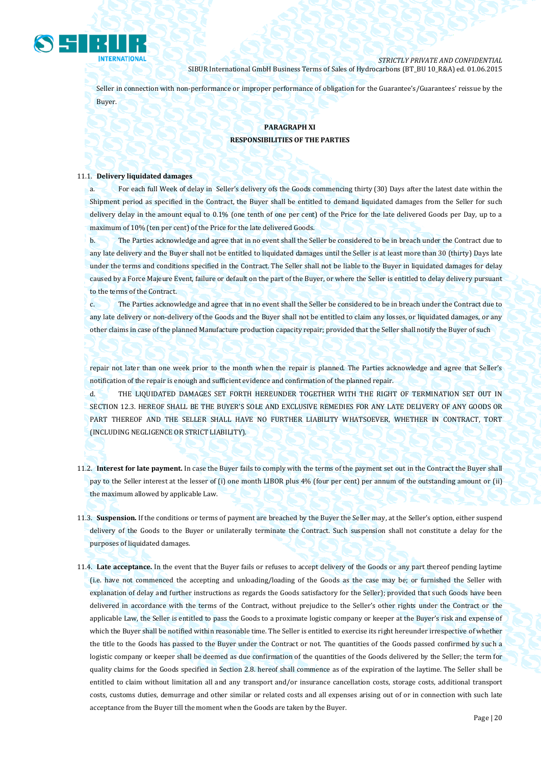

Seller in connection with non-performance or improper performance of obligation for the Guarantee's/Guarantees' reissue by the Buyer.

# **PARAGRAPH XI RESPONSIBILITIES OF THE PARTIES**

#### 11.1. **Delivery liquidated damages**

a. For each full Week of delay in Seller's delivery ofs the Goods commencing thirty (30) Days after the latest date within the Shipment period as specified in the Contract, the Buyer shall be entitled to demand liquidated damages from the Seller for such delivery delay in the amount equal to 0.1% (one tenth of one per cent) of the Price for the late delivered Goods per Day, up to a maximum of 10% (ten per cent) of the Price for the late delivered Goods.

b. The Parties acknowledge and agree that in no event shall the Seller be considered to be in breach under the Contract due to any late delivery and the Buyer shall not be entitled to liquidated damages until the Seller is at least more than 30 (thirty) Days late under the terms and conditions specified in the Contract. The Seller shall not be liable to the Buyer in liquidated damages for delay caused by a Force Majeure Event, failure or default on the part of the Buyer, or where the Seller is entitled to delay delivery pursuant to the terms of the Contract.

c. The Parties acknowledge and agree that in no event shall the Seller be considered to be in breach under the Contract due to any late delivery or non-delivery of the Goods and the Buyer shall not be entitled to claim any losses, or liquidated damages, or any other claims in case of the planned Manufacture production capacity repair; provided that the Seller shall notify the Buyer of such

repair not later than one week prior to the month when the repair is planned. The Parties acknowledge and agree that Seller's notification of the repair is enough and sufficient evidence and confirmation of the planned repair.

d. THE LIQUIDATED DAMAGES SET FORTH HEREUNDER TOGETHER WITH THE RIGHT OF TERMINATION SET OUT IN SECTION 12.3. HEREOF SHALL BE THE BUYER'S SOLE AND EXCLUSIVE REMEDIES FOR ANY LATE DELIVERY OF ANY GOODS OR PART THEREOF AND THE SELLER SHALL HAVE NO FURTHER LIABILITY WHATSOEVER, WHETHER IN CONTRACT, TORT (INCLUDING NEGLIGENCE OR STRICT LIABILITY).

- 11.2. **Interest for late payment.** In case the Buyer fails to comply with the terms of the payment set out in the Contract the Buyer shall pay to the Seller interest at the lesser of (i) one month LIBOR plus 4% (four per cent) per annum of the outstanding amount or (ii) the maximum allowed by applicable Law.
- 11.3. **Suspension.** If the conditions or terms of payment are breached by the Buyer the Seller may, at the Seller's option, either suspend delivery of the Goods to the Buyer or unilaterally terminate the Contract. Such suspension shall not constitute a delay for the purposes of liquidated damages.
- 11.4. **Late acceptance.** In the event that the Buyer fails or refuses to accept delivery of the Goods or any part thereof pending laytime (i.e. have not commenced the accepting and unloading/loading of the Goods as the case may be; or furnished the Seller with explanation of delay and further instructions as regards the Goods satisfactory for the Seller); provided that such Goods have been delivered in accordance with the terms of the Contract, without prejudice to the Seller's other rights under the Contract or the applicable Law, the Seller is entitled to pass the Goods to a proximate logistic company or keeper at the Buyer's risk and expense of which the Buyer shall be notified within reasonable time. The Seller is entitled to exercise its right hereunder irrespective of whether the title to the Goods has passed to the Buyer under the Contract or not. The quantities of the Goods passed confirmed by such a logistic company or keeper shall be deemed as due confirmation of the quantities of the Goods delivered by the Seller; the term for quality claims for the Goods specified in Section 2.8. hereof shall commence as of the expiration of the laytime. The Seller shall be entitled to claim without limitation all and any transport and/or insurance cancellation costs, storage costs, additional transport costs, customs duties, demurrage and other similar or related costs and all expenses arising out of or in connection with such late acceptance from the Buyer till the moment when the Goods are taken by the Buyer.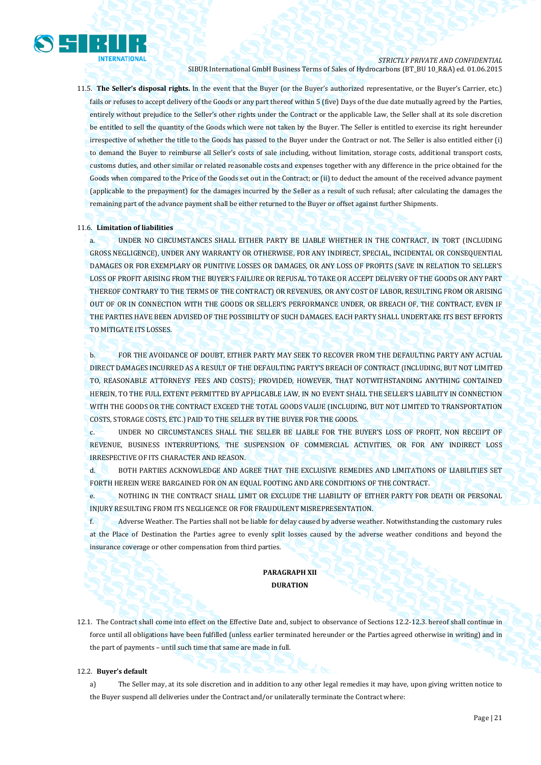

11.5. **The Seller's disposal rights.** In the event that the Buyer (or the Buyer's authorized representative, or the Buyer's Carrier, etc.) fails or refuses to accept delivery of the Goods or any part thereof within 5 (five) Days of the due date mutually agreed by the Parties, entirely without prejudice to the Seller's other rights under the Contract or the applicable Law, the Seller shall at its sole discretion be entitled to sell the quantity of the Goods which were not taken by the Buyer. The Seller is entitled to exercise its right hereunder irrespective of whether the title to the Goods has passed to the Buyer under the Contract or not. The Seller is also entitled either (i) to demand the Buyer to reimburse all Seller's costs of sale including, without limitation, storage costs, additional transport costs, customs duties, and other similar or related reasonable costs and expenses together with any difference in the price obtained for the Goods when compared to the Price of the Goods set out in the Contract; or (ii) to deduct the amount of the received advance payment (applicable to the prepayment) for the damages incurred by the Seller as a result of such refusal; after calculating the damages the remaining part of the advance payment shall be either returned to the Buyer or offset against further Shipments.

## 11.6. **Limitation of liabilities**

a. UNDER NO CIRCUMSTANCES SHALL EITHER PARTY BE LIABLE WHETHER IN THE CONTRACT, IN TORT (INCLUDING GROSS NEGLIGENCE), UNDER ANY WARRANTY OR OTHERWISE, FOR ANY INDIRECT, SPECIAL, INCIDENTAL OR CONSEQUENTIAL DAMAGES OR FOR EXEMPLARY OR PUNITIVE LOSSES OR DAMAGES, OR ANY LOSS OF PROFITS (SAVE IN RELATION TO SELLER'S LOSS OF PROFIT ARISING FROM THE BUYER'S FAILURE OR REFUSAL TO TAKE OR ACCEPT DELIVERY OF THE GOODS OR ANY PART THEREOF CONTRARY TO THE TERMS OF THE CONTRACT) OR REVENUES, OR ANY COST OF LABOR, RESULTING FROM OR ARISING OUT OF OR IN CONNECTION WITH THE GOODS OR SELLER'S PERFORMANCE UNDER, OR BREACH OF, THE CONTRACT, EVEN IF THE PARTIES HAVE BEEN ADVISED OF THE POSSIBILITY OF SUCH DAMAGES. EACH PARTY SHALL UNDERTAKE ITS BEST EFFORTS TO MITIGATE ITS LOSSES.

b. FOR THE AVOIDANCE OF DOUBT, EITHER PARTY MAY SEEK TO RECOVER FROM THE DEFAULTING PARTY ANY ACTUAL DIRECT DAMAGES INCURRED AS A RESULT OF THE DEFAULTING PARTY'S BREACH OF CONTRACT (INCLUDING, BUT NOT LIMITED TO, REASONABLE ATTORNEYS' FEES AND COSTS); PROVIDED, HOWEVER, THAT NOTWITHSTANDING ANYTHING CONTAINED HEREIN, TO THE FULL EXTENT PERMITTED BY APPLICABLE LAW, IN NO EVENT SHALL THE SELLER'S LIABILITY IN CONNECTION WITH THE GOODS OR THE CONTRACT EXCEED THE TOTAL GOODS VALUE (INCLUDING, BUT NOT LIMITED TO TRANSPORTATION COSTS, STORAGE COSTS, ETC.) PAID TO THE SELLER BY THE BUYER FOR THE GOODS.

c. UNDER NO CIRCUMSTANCES SHALL THE SELLER BE LIABLE FOR THE BUYER'S LOSS OF PROFIT, NON RECEIPT OF REVENUE, BUSINESS INTERRUPTIONS, THE SUSPENSION OF COMMERCIAL ACTIVITIES, OR FOR ANY INDIRECT LOSS IRRESPECTIVE OF ITS CHARACTER AND REASON.

d. BOTH PARTIES ACKNOWLEDGE AND AGREE THAT THE EXCLUSIVE REMEDIES AND LIMITATIONS OF LIABILITIES SET FORTH HEREIN WERE BARGAINED FOR ON AN EQUAL FOOTING AND ARE CONDITIONS OF THE CONTRACT.

e. NOTHING IN THE CONTRACT SHALL LIMIT OR EXCLUDE THE LIABILITY OF EITHER PARTY FOR DEATH OR PERSONAL INJURY RESULTING FROM ITS NEGLIGENCE OR FOR FRAUDULENT MISREPRESENTATION.

f. Adverse Weather. The Parties shall not be liable for delay caused by adverse weather. Notwithstanding the customary rules at the Place of Destination the Parties agree to evenly split losses caused by the adverse weather conditions and beyond the insurance coverage or other compensation from third parties.

# **PARAGRAPH XII DURATION**

12.1. The Contract shall come into effect on the Effective Date and, subject to observance of Sections 12.2-12.3. hereof shall continue in force until all obligations have been fulfilled (unless earlier terminated hereunder or the Parties agreed otherwise in writing) and in the part of payments – until such time that same are made in full.

## 12.2. **Buyer's default**

a) The Seller may, at its sole discretion and in addition to any other legal remedies it may have, upon giving written notice to the Buyer suspend all deliveries under the Contract and/or unilaterally terminate the Contract where: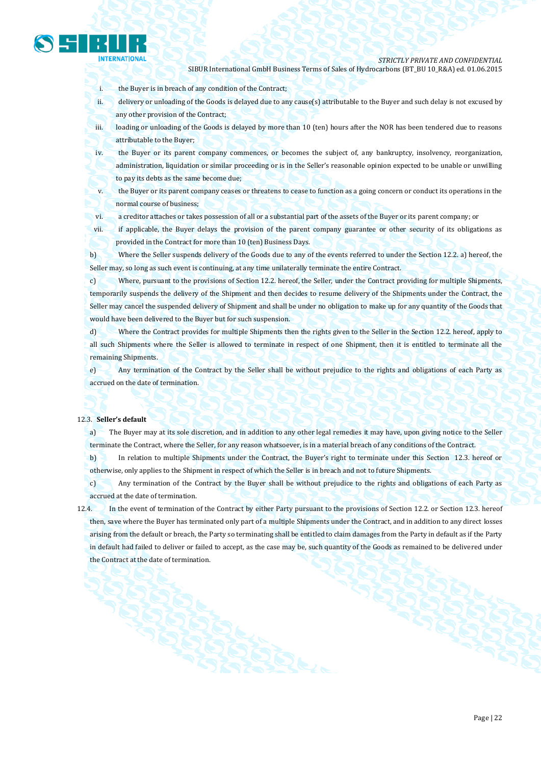

*STRICTLY PRIVATE AND CONFIDENTIAL*

SIBUR International GmbH Business Terms of Sales of Hydrocarbons (BT\_BU 10\_R&A) ed. 01.06.2015

i. the Buyer is in breach of any condition of the Contract;

ii. delivery or unloading of the Goods is delayed due to any cause(s) attributable to the Buyer and such delay is not excused by any other provision of the Contract;

iii. loading or unloading of the Goods is delayed by more than 10 (ten) hours after the NOR has been tendered due to reasons attributable to the Buyer;

iv. the Buyer or its parent company commences, or becomes the subject of, any bankruptcy, insolvency, reorganization, administration, liquidation or similar proceeding or is in the Seller's reasonable opinion expected to be unable or unwilling to pay its debts as the same become due;

v. the Buyer or its parent company ceases or threatens to cease to function as a going concern or conduct its operations in the normal course of business;

vi. a creditor attaches or takes possession of all or a substantial part of the assets of the Buyer or its parent company; or

vii. if applicable, the Buyer delays the provision of the parent company guarantee or other security of its obligations as provided in the Contract for more than 10 (ten) Business Days.

b) Where the Seller suspends delivery of the Goods due to any of the events referred to under the Section 12.2. a) hereof, the Seller may, so long as such event is continuing, at any time unilaterally terminate the entire Contract.

c) Where, pursuant to the provisions of Section 12.2. hereof, the Seller, under the Contract providing for multiple Shipments, temporarily suspends the delivery of the Shipment and then decides to resume delivery of the Shipments under the Contract, the Seller may cancel the suspended delivery of Shipment and shall be under no obligation to make up for any quantity of the Goods that would have been delivered to the Buyer but for such suspension.

d) Where the Contract provides for multiple Shipments then the rights given to the Seller in the Section 12.2. hereof, apply to all such Shipments where the Seller is allowed to terminate in respect of one Shipment, then it is entitled to terminate all the remaining Shipments.

e) Any termination of the Contract by the Seller shall be without prejudice to the rights and obligations of each Party as accrued on the date of termination.

#### 12.3. **Seller's default**

a) The Buyer may at its sole discretion, and in addition to any other legal remedies it may have, upon giving notice to the Seller terminate the Contract, where the Seller, for any reason whatsoever, is in a material breach of any conditions of the Contract.

b) In relation to multiple Shipments under the Contract, the Buyer's right to terminate under this Section 12.3. hereof or otherwise, only applies to the Shipment in respect of which the Seller is in breach and not to future Shipments.

c) Any termination of the Contract by the Buyer shall be without prejudice to the rights and obligations of each Party as accrued at the date of termination.

12.4. In the event of termination of the Contract by either Party pursuant to the provisions of Section 12.2. or Section 12.3. hereof then, save where the Buyer has terminated only part of a multiple Shipments under the Contract, and in addition to any direct losses arising from the default or breach, the Party so terminating shall be entitled to claim damages from the Party in default as if the Party in default had failed to deliver or failed to accept, as the case may be, such quantity of the Goods as remained to be delivered under the Contract at the date of termination.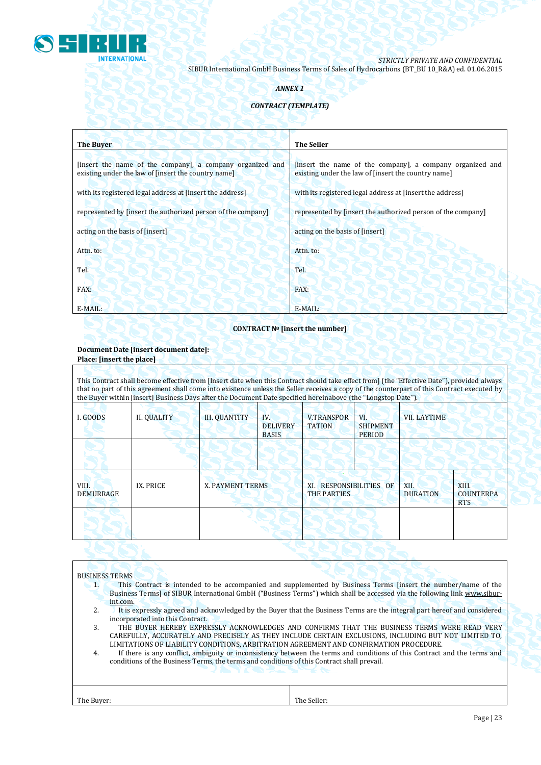

# *ANNEX 1*

# *CONTRACT (TEMPLATE)*

| <b>The Buyer</b>                                                                                                 | <b>The Seller</b>                                                                                                |
|------------------------------------------------------------------------------------------------------------------|------------------------------------------------------------------------------------------------------------------|
| [insert the name of the company], a company organized and<br>existing under the law of [insert the country name] | [insert the name of the company], a company organized and<br>existing under the law of [insert the country name] |
| with its registered legal address at [insert the address]                                                        | with its registered legal address at [insert the address]                                                        |
| represented by [insert the authorized person of the company]                                                     | represented by [insert the authorized person of the company]                                                     |
| acting on the basis of [insert]                                                                                  | acting on the basis of [insert]                                                                                  |
| Attn. to:                                                                                                        | Attn. to:                                                                                                        |
| Tel.                                                                                                             | Tel.                                                                                                             |
| FAX:                                                                                                             | FAX:                                                                                                             |
| E-MAIL:                                                                                                          | E-MAIL:                                                                                                          |

# **CONTRACT № [insert the number]**

## **Document Date [insert document date]: Place: [insert the place]**

This Contract shall become effective from [Insert date when this Contract should take effect from] (the "Effective Date"), provided always that no part of this agreement shall come into existence unless the Seller receives a copy of the counterpart of this Contract executed by the Buyer within [insert] Business Days after the Document Date specified hereinabove (the "Longstop Date").

| I. GOODS           | <b>II. QUALITY</b> | <b>III. QUANTITY</b> | IV.<br><b>DELIVERY</b><br><b>BASIS</b> | <b>V.TRANSPOR</b><br><b>TATION</b>            | VI.<br><b>SHIPMENT</b><br><b>PERIOD</b> | <b>VII. LAYTIME</b>     |                                         |  |
|--------------------|--------------------|----------------------|----------------------------------------|-----------------------------------------------|-----------------------------------------|-------------------------|-----------------------------------------|--|
|                    |                    |                      |                                        |                                               |                                         |                         |                                         |  |
| VIII.<br>DEMURRAGE | IX. PRICE          | X. PAYMENT TERMS     |                                        | XI. RESPONSIBILITIES OF<br><b>THE PARTIES</b> |                                         | XII.<br><b>DURATION</b> | XIII.<br><b>COUNTERPA</b><br><b>RTS</b> |  |
|                    |                    |                      |                                        |                                               |                                         |                         |                                         |  |
|                    |                    |                      |                                        |                                               |                                         |                         |                                         |  |

## BUSINESS TERMS

- 1. This Contract is intended to be accompanied and supplemented by Business Terms [insert the number/name of the Business Terms] of SIBUR International GmbH ("Business Terms") which shall be accessed via the following link [www.sibur](http://www.sibur-int.com/)[int.com.](http://www.sibur-int.com/)
- 2. It is expressly agreed and acknowledged by the Buyer that the Business Terms are the integral part hereof and considered incorporated into this Contract.
- 3. THE BUYER HEREBY EXPRESSLY ACKNOWLEDGES AND CONFIRMS THAT THE BUSINESS TERMS WERE READ VERY CAREFULLY, ACCURATELY AND PRECISELY AS THEY INCLUDE CERTAIN EXCLUSIONS, INCLUDING BUT NOT LIMITED TO, LIMITATIONS OF LIABILITY CONDITIONS, ARBITRATION AGREEMENT AND CONFIRMATION PROCEDURE.
- 4. If there is any conflict, ambiguity or inconsistency between the terms and conditions of this Contract and the terms and conditions of the Business Terms, the terms and conditions of this Contract shall prevail.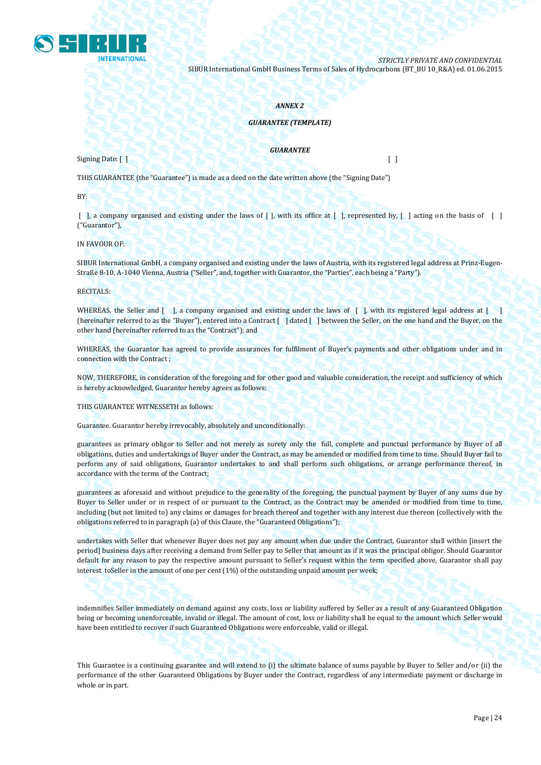

#### *ANNEX 2*

## *GUARANTEE (TEMPLATE)*

Signing Date: [ ] [ ]

*GUARANTEE*

THIS GUARANTEE (the "Guarantee") is made as a deed on the date written above (the "Signing Date")

BY:

 $\lceil$ , a company organised and existing under the laws of  $\lceil$ , with its office at  $\lceil$ , represented by,  $\lceil$ , acting on the basis of  $\lceil$ ("Guarantor"),

IN FAVOUR OF:

SIBUR International GmbH, a company organised and existing under the laws of Austria, with its registered legal address at Prinz-Eugen-Straße 8-10, A-1040 Vienna, Austria ("Seller", and, together with Guarantor, the "Parties", each being a "Party").

RECITALS:

WHEREAS, the Seller and [ ], a company organised and existing under the laws of [ ], with its registered legal address at [ ] (hereinafter referred to as the "Buyer"), entered into a Contract [ ] dated [ ] between the Seller, on the one hand and the Buyer, on the other hand (hereinafter referred to as the "Contract"); and

WHEREAS, the Guarantor has agreed to provide assurances for fulfilment of Buyer's payments and other obligations under and in connection with the Contract ;

NOW, THEREFORE, in consideration of the foregoing and for other good and valuable consideration, the receipt and sufficiency of which is hereby acknowledged, Guarantor hereby agrees as follows:

THIS GUARANTEE WITNESSETH as follows:

Guarantee. Guarantor hereby irrevocably, absolutely and unconditionally:

guarantees as primary obligor to Seller and not merely as surety only the full, complete and punctual performance by Buyer of all obligations, duties and undertakings of Buyer under the Contract, as may be amended or modified from time to time. Should Buyer fail to perform any of said obligations, Guarantor undertakes to and shall perform such obligations, or arrange performance thereof, in accordance with the terms of the Contract;

guarantees as aforesaid and without prejudice to the generality of the foregoing, the punctual payment by Buyer of any sums due by Buyer to Seller under or in respect of or pursuant to the Contract, as the Contract may be amended or modified from time to time, including (but not limited to) any claims or damages for breach thereof and together with any interest due thereon (collectively with the obligations referred to in paragraph (a) of this Clause, the "Guaranteed Obligations");

undertakes with Seller that whenever Buyer does not pay any amount when due under the Contract, Guarantor shall within [insert the period] business days after receiving a demand from Seller pay to Seller that amount as if it was the principal obligor. Should Guarantor default for any reason to pay the respective amount pursuant to Seller's request within the term specified above, Guarantor shall pay interest toSeller in the amount of one per cent (1%) of the outstanding unpaid amount per week;

indemnifies Seller immediately on demand against any costs, loss or liability suffered by Seller as a result of any Guaranteed Obligation being or becoming unenforceable, invalid or illegal. The amount of cost, loss or liability shall be equal to the amount which Seller would have been entitled to recover if such Guaranteed Obligations were enforceable, valid or illegal.

This Guarantee is a continuing guarantee and will extend to (i) the ultimate balance of sums payable by Buyer to Seller and/or (ii) the performance of the other Guaranteed Obligations by Buyer under the Contract, regardless of any intermediate payment or discharge in whole or in part.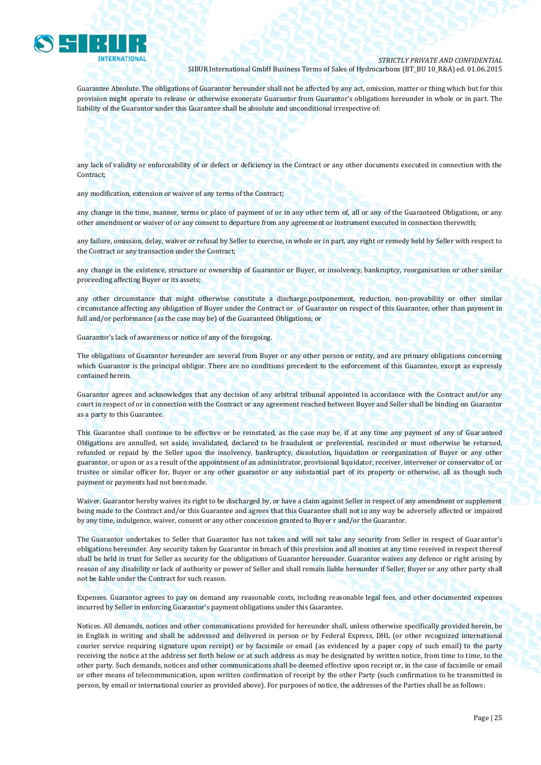

Guarantee Absolute. The obligations of Guarantor hereunder shall not be affected by any act, omission, matter or thing which but for this provision might operate to release or otherwise exonerate Guarantor from Guarantor's obligations hereunder in whole or in part. The liability of the Guarantor under this Guarantee shall be absolute and unconditional irrespective of:

any lack of validity or enforceability of or defect or deficiency in the Contract or any other documents executed in connection with the Contract;

any modification, extension or waiver of any terms of the Contract;

any change in the time, manner, terms or place of payment of or in any other term of, all or any of the Guaranteed Obligations, or any other amendment or waiver of or any consent to departure from any agreement or instrument executed in connection therewith;

any failure, omission, delay, waiver or refusal by Seller to exercise, in whole or in part, any right or remedy held by Seller with respect to the Contract or any transaction under the Contract;

any change in the existence, structure or ownership of Guarantor or Buyer, or insolvency, bankruptcy, reorganisation or other similar proceeding affecting Buyer or its assets;

any other circumstance that might otherwise constitute a discharge,postponement, reduction, non-provability or other similar circumstance affecting any obligation of Buyer under the Contract or of Guarantor on respect of this Guarantee, other than payment in full and/or performance (as the case may be) of the Guaranteed Obligations; or

Guarantor's lack of awareness or notice of any of the foregoing.

The obligations of Guarantor hereunder are several from Buyer or any other person or entity, and are primary obligations concerning which Guarantor is the principal obligor. There are no conditions precedent to the enforcement of this Guarantee, except as expressly contained herein.

Guarantor agrees and acknowledges that any decision of any arbitral tribunal appointed in accordance with the Contract and/or any court in respect of or in connection with the Contract or any agreement reached between Buyer and Seller shall be binding on Guarantor as a party to this Guarantee.

This Guarantee shall continue to be effective or be reinstated, as the case may be, if at any time any payment of any of Guaranteed Obligations are annulled, set aside, invalidated, declared to be fraudulent or preferential, rescinded or must otherwise be returned, refunded or repaid by the Seller upon the insolvency, bankruptcy, dissolution, liquidation or reorganization of Buyer or any other guarantor, or upon or as a result of the appointment of an administrator, provisional liquidator, receiver, intervener or conservator of, or trustee or similar officer for, Buyer or any other guarantor or any substantial part of its property or otherwise, all as though such payment or payments had not been made.

Waiver. Guarantor hereby waives its right to be discharged by, or have a claim against Seller in respect of any amendment or supplement being made to the Contract and/or this Guarantee and agrees that this Guarantee shall not in any way be adversely affected or impaired by any time, indulgence, waiver, consent or any other concession granted to Buyer r and/or the Guarantor.

The Guarantor undertakes to Seller that Guarantor has not taken and will not take any security from Seller in respect of Guarantor's obligations hereunder. Any security taken by Guarantor in breach of this provision and all monies at any time received in respect thereof shall be held in trust for Seller as security for the obligations of Guarantor hereunder. Guarantor waives any defence or right arising by reason of any disability or lack of authority or power of Seller and shall remain liable hereunder if Seller, Buyer or any other party shall not be liable under the Contract for such reason.

Expenses. Guarantor agrees to pay on demand any reasonable costs, including reasonable legal fees, and other documented expenses incurred by Seller in enforcing Guarantor's payment obligations under this Guarantee.

Notices. All demands, notices and other communications provided for hereunder shall, unless otherwise specifically provided herein, be in English in writing and shall be addressed and delivered in person or by Federal Express, DHL (or other recognized international courier service requiring signature upon receipt) or by facsimile or email (as evidenced by a paper copy of such email) to the party receiving the notice at the address set forth below or at such address as may be designated by written notice, from time to time, to the other party. Such demands, notices and other communications shall be deemed effective upon receipt or, in the case of facsimile or email or other means of telecommunication, upon written confirmation of receipt by the other Party (such confirmation to be transmitted in person, by email or international courier as provided above). For purposes of notice, the addresses of the Parties shall be as follows: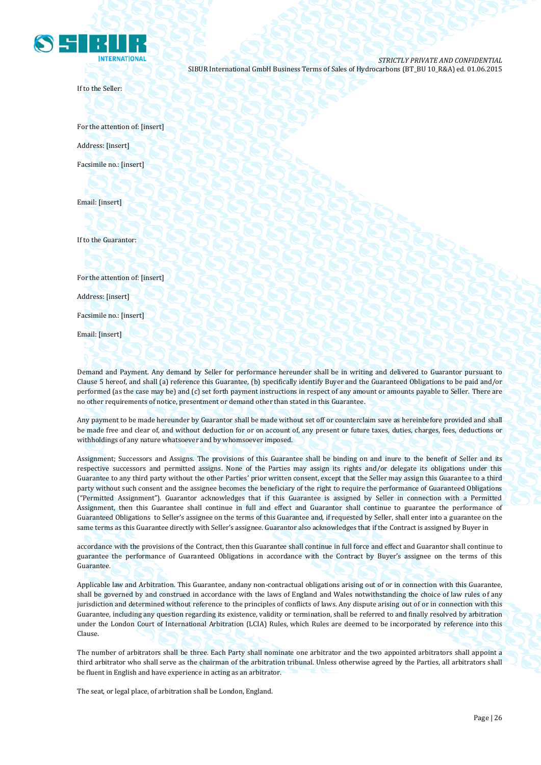

If to the Seller:

For the attention of: [insert] Address: [insert] Facsimile no.: [insert]

Email: [insert]

If to the Guarantor:

For the attention of: [insert]

Address: [insert]

Facsimile no.: [insert]

Email: [insert]

Demand and Payment. Any demand by Seller for performance hereunder shall be in writing and delivered to Guarantor pursuant to Clause 5 hereof, and shall (a) reference this Guarantee, (b) specifically identify Buyer and the Guaranteed Obligations to be paid and/or performed (as the case may be) and (c) set forth payment instructions in respect of any amount or amounts payable to Seller. There are no other requirements of notice, presentment or demand other than stated in this Guarantee.

Any payment to be made hereunder by Guarantor shall be made without set off or counterclaim save as hereinbefore provided and shall be made free and clear of, and without deduction for or on account of, any present or future taxes, duties, charges, fees, deductions or withholdings of any nature whatsoever and by whomsoever imposed.

Assignment; Successors and Assigns. The provisions of this Guarantee shall be binding on and inure to the benefit of Seller and its respective successors and permitted assigns. None of the Parties may assign its rights and/or delegate its obligations under this Guarantee to any third party without the other Parties' prior written consent, except that the Seller may assign this Guarantee to a third party without such consent and the assignee becomes the beneficiary of the right to require the performance of Guaranteed Obligations ("Permitted Assignment"). Guarantor acknowledges that if this Guarantee is assigned by Seller in connection with a Permitted Assignment, then this Guarantee shall continue in full and effect and Guarantor shall continue to guarantee the performance of Guaranteed Obligations to Seller's assignee on the terms of this Guarantee and, if requested by Seller, shall enter into a guarantee on the same terms as this Guarantee directly with Seller's assignee. Guarantor also acknowledges that if the Contract is assigned by Buyer in

accordance with the provisions of the Contract, then this Guarantee shall continue in full force and effect and Guarantor shall continue to guarantee the performance of Guaranteed Obligations in accordance with the Contract by Buyer's assignee on the terms of this Guarantee.

Applicable law and Arbitration. This Guarantee, andany non-contractual obligations arising out of or in connection with this Guarantee, shall be governed by and construed in accordance with the laws of England and Wales notwithstanding the choice of law rules of any jurisdiction and determined without reference to the principles of conflicts of laws. Any dispute arising out of or in connection with this Guarantee, including any question regarding its existence, validity or termination, shall be referred to and finally resolved by arbitration under the London Court of International Arbitration (LCIA) Rules, which Rules are deemed to be incorporated by reference into this Clause.

The number of arbitrators shall be three. Each Party shall nominate one arbitrator and the two appointed arbitrators shall appoint a third arbitrator who shall serve as the chairman of the arbitration tribunal. Unless otherwise agreed by the Parties, all arbitrators shall be fluent in English and have experience in acting as an arbitrator.

The seat, or legal place, of arbitration shall be London, England.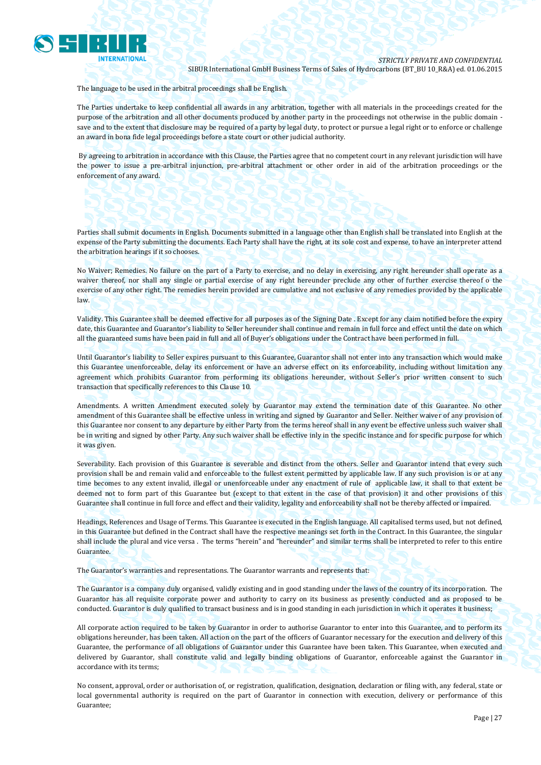

The language to be used in the arbitral proceedings shall be English.

The Parties undertake to keep confidential all awards in any arbitration, together with all materials in the proceedings created for the purpose of the arbitration and all other documents produced by another party in the proceedings not otherwise in the public domain save and to the extent that disclosure may be required of a party by legal duty, to protect or pursue a legal right or to enforce or challenge an award in bona fide legal proceedings before a state court or other judicial authority.

By agreeing to arbitration in accordance with this Clause, the Parties agree that no competent court in any relevant jurisdiction will have the power to issue a pre-arbitral injunction, pre-arbitral attachment or other order in aid of the arbitration proceedings or the enforcement of any award.

Parties shall submit documents in English. Documents submitted in a language other than English shall be translated into English at the expense of the Party submitting the documents. Each Party shall have the right, at its sole cost and expense, to have an interpreter attend the arbitration hearings if it so chooses.

No Waiver; Remedies. No failure on the part of a Party to exercise, and no delay in exercising, any right hereunder shall operate as a waiver thereof, nor shall any single or partial exercise of any right hereunder preclude any other of further exercise thereof o the exercise of any other right. The remedies herein provided are cumulative and not exclusive of any remedies provided by the applicable law.

Validity. This Guarantee shall be deemed effective for all purposes as of the Signing Date . Except for any claim notified before the expiry date, this Guarantee and Guarantor's liability to Seller hereunder shall continue and remain in full force and effect until the date on which all the guaranteed sums have been paid in full and all of Buyer's obligations under the Contract have been performed in full.

Until Guarantor's liability to Seller expires pursuant to this Guarantee, Guarantor shall not enter into any transaction which would make this Guarantee unenforceable, delay its enforcement or have an adverse effect on its enforceability, including without limitation any agreement which prohibits Guarantor from performing its obligations hereunder, without Seller's prior written consent to such transaction that specifically references to this Clause 10.

Amendments. A written Amendment executed solely by Guarantor may extend the termination date of this Guarantee. No other amendment of this Guarantee shall be effective unless in writing and signed by Guarantor and Seller. Neither waiver of any provision of this Guarantee nor consent to any departure by either Party from the terms hereof shall in any event be effective unless such waiver shall be in writing and signed by other Party. Any such waiver shall be effective inly in the specific instance and for specific purpose for which it was given.

Severability. Each provision of this Guarantee is severable and distinct from the others. Seller and Guarantor intend that every such provision shall be and remain valid and enforceable to the fullest extent permitted by applicable law. If any such provision is or at any time becomes to any extent invalid, illegal or unenforceable under any enactment of rule of applicable law, it shall to that extent be deemed not to form part of this Guarantee but (except to that extent in the case of that provision) it and other provisions of this Guarantee shall continue in full force and effect and their validity, legality and enforceability shall not be thereby affected or impaired.

Headings, References and Usage of Terms. This Guarantee is executed in the English language. All capitalised terms used, but not defined, in this Guarantee but defined in the Contract shall have the respective meanings set forth in the Contract. In this Guarantee, the singular shall include the plural and vice versa . The terms "herein" and "hereunder" and similar terms shall be interpreted to refer to this entire Guarantee.

The Guarantor's warranties and representations. The Guarantor warrants and represents that:

The Guarantor is a company duly organised, validly existing and in good standing under the laws of the country of its incorporation. The Guarantor has all requisite corporate power and authority to carry on its business as presently conducted and as proposed to be conducted. Guarantor is duly qualified to transact business and is in good standing in each jurisdiction in which it operates it business;

All corporate action required to be taken by Guarantor in order to authorise Guarantor to enter into this Guarantee, and to perform its obligations hereunder, has been taken. All action on the part of the officers of Guarantor necessary for the execution and delivery of this Guarantee, the performance of all obligations of Guarantor under this Guarantee have been taken. This Guarantee, when executed and delivered by Guarantor, shall constitute valid and legally binding obligations of Guarantor, enforceable against the Guarantor in accordance with its terms;

No consent, approval, order or authorisation of, or registration, qualification, designation, declaration or filing with, any federal, state or local governmental authority is required on the part of Guarantor in connection with execution, delivery or performance of this Guarantee;